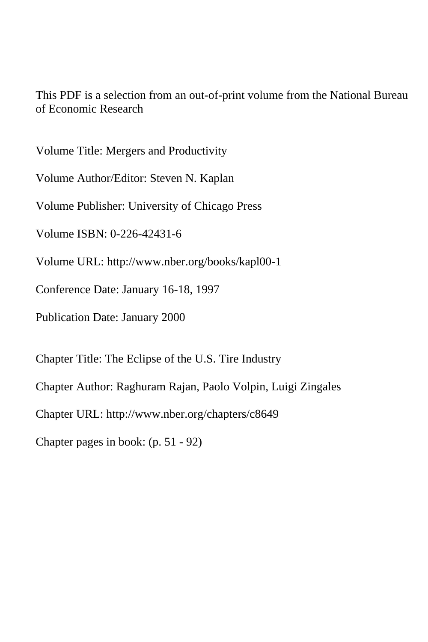This PDF is a selection from an out-of-print volume from the National Bureau of Economic Research

Volume Title: Mergers and Productivity Volume Author/Editor: Steven N. Kaplan Volume Publisher: University of Chicago Press Volume ISBN: 0-226-42431-6 Volume URL: http://www.nber.org/books/kapl00-1 Conference Date: January 16-18, 1997 Publication Date: January 2000

Chapter Title: The Eclipse of the U.S. Tire Industry Chapter Author: Raghuram Rajan, Paolo Volpin, Luigi Zingales Chapter URL: http://www.nber.org/chapters/c8649 Chapter pages in book: (p. 51 - 92)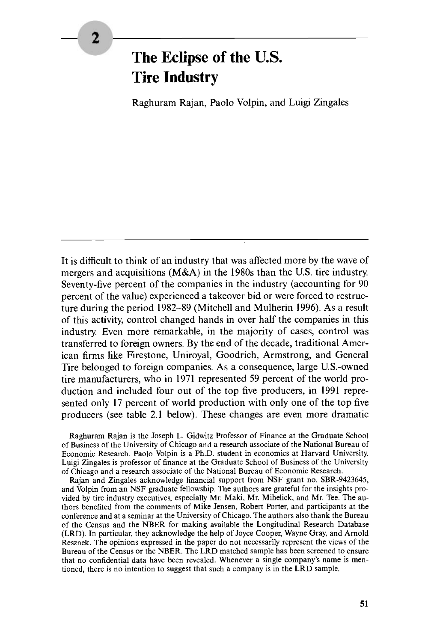# **The Eclipse of the U.S. Tire Industry**

 $\mathbf 2$ 

Raghuram Rajan, Paolo Volpin, and Luigi Zingales

**It** is difficult to think of an industry that was affected more by the wave of mergers and acquisitions (M&A) in the 1980s than the U.S. tire industry. Seventy-five percent of the companies in the industry (accounting for 90 percent of the value) experienced a takeover bid or were forced to restructure during the period 1982-89 (Mitchell and Mulherin 1996). As a result of this activity, control changed hands in over half the companies in this industry. Even more remarkable, in the majority of cases, control was transferred to foreign owners. By the end of the decade, traditional American firms like Firestone, Uniroyal, Goodrich, Armstrong, and General Tire belonged to foreign companies. As a consequence, large U.S.-owned tire manufacturers, who in 1971 represented 59 percent of the world production and included four out of the top five producers, in 1991 represented only 17 percent of world production with only one of the top five producers (see table 2.1 below). These changes are even more dramatic

Raghuram Rajan is the Joseph L. Gidwitz Professor of Finance at the Graduate School of Business of the University of Chicago and a research associate of the National Bureau of Economic Research. Paolo Volpin is a Ph.D. student in economics at Harvard University. Luigi Zingales **is** professor of finance at the Graduate School of Business of the University of Chicago and a research associate of the National Bureau of Economic Research.

Rajan and Zingales acknowledge financial support from NSF grant no. SBR-9423645, and Volpin from an NSF graduate fellowship. The authors are grateful for the insights provided by tire industry executives, especially Mr. Maki, Mr. Mihelick, and Mr. Tee. The authors benefited from the comments of Mike Jensen, Robert Porter, and participants at the conference and at a seminar at the University of Chicago. The authors also thank the Bureau of the Census and the NBER for making available the Longitudinal Research Database (LRD). In particular, they acknowledge the help of Joyce Cooper, Wayne Gray, and Arnold Resznek. The opinions expressed in the paper do not necessarily represent the views of the Bureau of the Census or the NBER. The LRD matched sample has been screened to ensure that no confidential data have been revealed. Whenever a single company's name is mentioned, there is no intention to suggest that such a company is in the LRD sample.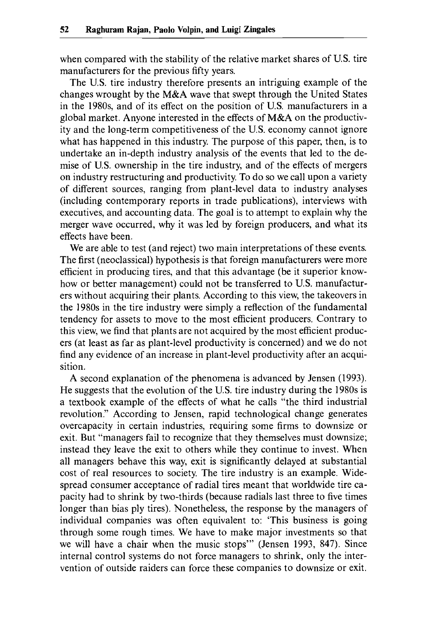when compared with the stability of the relative market shares of US. tire manufacturers for the previous fifty years.

The **U.S.** tire industry therefore presents an intriguing example of the changes wrought by the **M&A** wave that swept through the United States in the 1980s, and of its effect on the position of **U.S.** manufacturers in a global market. Anyone interested in the effects of **M&A** on the productivity and the long-term competitiveness of the **U.S.** economy cannot ignore what has happened in this industry. The purpose of this paper, then, is to undertake an in-depth industry analysis of the events that led to the demise of US. ownership in the tire industry, and of the effects of mergers on industry restructuring and productivity. To do so we call upon a variety of different sources, ranging from plant-level data to industry analyses (including contemporary reports in trade publications), interviews with executives, and accounting data. The goal is to attempt to explain why the merger wave occurred, why it was led by foreign producers, and what its effects have been.

We are able to test (and reject) two main interpretations of these events. The first (neoclassical) hypothesis is that foreign manufacturers were more efficient in producing tires, and that this advantage (be it superior knowhow or better management) could not be transferred to **U.S.** manufacturers without acquiring their plants. According to this view, the takeovers in the 1980s in the tire industry were simply a reflection of the fundamental tendency for assets to move to the most efficient producers. Contrary to this view, we find that plants are not acquired by the most efficient producers (at least as far as plant-level productivity is concerned) and we do not find any evidence of an increase in plant-level productivity after an acquisition.

**A** second explanation of the phenomena is advanced by Jensen (1993). He suggests that the evolution of the **U.S.** tire industry during the 1980s is a textbook example of the effects of what he calls "the third industrial revolution." According to Jensen, rapid technological change generates overcapacity in certain industries, requiring some firms to downsize or exit. But "managers fail to recognize that they themselves must downsize; instead they leave the exit to others while they continue to invest. When all managers behave this way, exit is significantly delayed at substantial cost of real resources to society. The tire industry is an example. Widespread consumer acceptance of radial tires meant that worldwide tire capacity had to shrink by two-thirds (because radials last three to five times longer than bias ply tires). Nonetheless, the response by the managers of individual companies was often equivalent to: 'This business is going through some rough times. We have to make major investments so that we will have a chair when the music stops"' (Jensen 1993, 847). Since internal control systems do not force managers to shrink, only the intervention of outside raiders can force these companies to downsize or exit.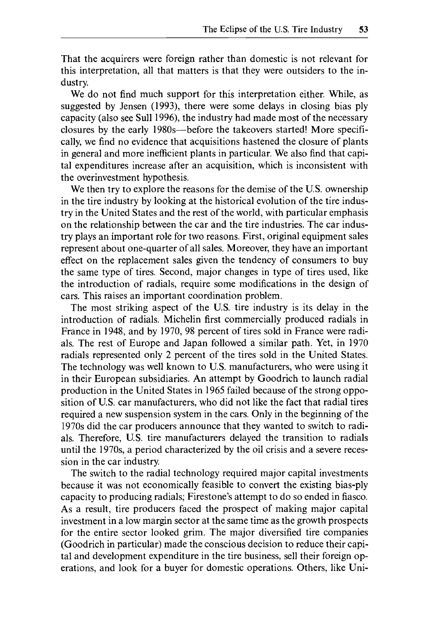That the acquirers were foreign rather than domestic is not relevant for this interpretation, all that matters is that they were outsiders to the industry.

We do not find much support for this interpretation either. While, as suggested by Jensen (1993), there were some delays in closing bias ply capacity (also see Sull 1996), the industry had made most of the necessary closures by the early 1980s-before the takeovers started! More specifically, we find no evidence that acquisitions hastened the closure of plants in general and more inefficient plants in particular. We also find that capital expenditures increase after an acquisition, which is inconsistent with the overinvestment hypothesis.

We then try to explore the reasons for the demise of the U.S. ownership in the tire industry by looking at the historical evolution of the tire industry in the United States and the rest of the world, with particular emphasis on the relationship between the car and the tire industries. The car industry plays an important role for two reasons. First, original equipment sales represent about one-quarter of all sales. Moreover, they have an important effect on the replacement sales given the tendency of consumers to buy the same type of tires. Second, major changes in type of tires used, like the introduction of radials, require some modifications in the design of cars. This raises an important coordination problem.

The most striking aspect of the **U.S.** tire industry is its delay in the introduction of radials. Michelin first commercially produced radials in France in 1948, and by 1970, 98 percent of tires sold in France were radials. The rest of Europe and Japan followed a similar path. Yet, in 1970 radials represented only 2 percent of the tires sold in the United States. The technology was well known to U.S. manufacturers, who were using it in their European subsidiaries. **An** attempt by Goodrich to launch radial production in the United States in 1965 failed because of the strong opposition of **U.S.** car manufacturers, who did not like the fact that radial tires required a new suspension system in the cars. Only in the beginning of the 1970s did the car producers announce that they wanted to switch to radials. Therefore, **U.S.** tire manufacturers delayed the transition to radials until the 1970s, a period characterized by the oil crisis and a severe recession in the car industry.

The switch to the radial technology required major capital investments because it was not economically feasible to convert the existing bias-ply capacity to producing radials; Firestone's attempt to do so ended in fiasco. **As** a result, tire producers faced the prospect of making major capital investment in a low margin sector at the same time as the growth prospects for the entire sector looked grim. The major diversified tire companies (Goodrich in particular) made the conscious decision to reduce their capital and development expenditure in the tire business, sell their foreign operations, and look for a buyer for domestic operations. Others, like Uni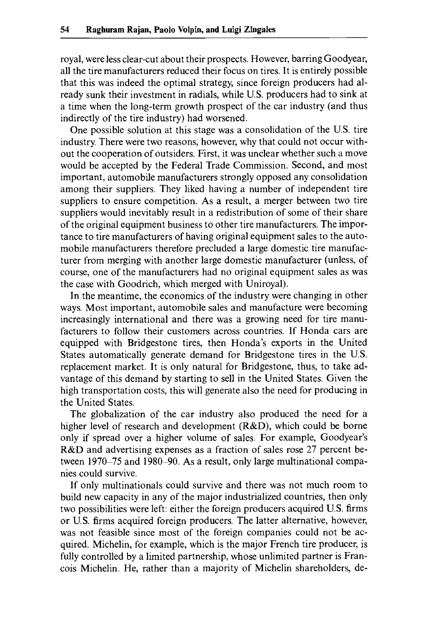royal, were less clear-cut about their prospects. However, barring Goodyear, all the tire manufacturers reduced their focus on tires. It is entirely possible that this was indeed the optimal strategy, since foreign producers had already sunk their investment in radials, while **U.S.** producers had to sink at a time when the long-term growth prospect of the car industry (and thus indirectly of the tire industry) had worsened.

One possible solution at this stage was a consolidation of the **U.S.** tire industry. There were two reasons, however, why that could not occur without the cooperation of outsiders. First, it was unclear whether such a move would be accepted by the Federal Trade Commission. Second, and most important, automobile manufacturers strongly opposed any consolidation among their suppliers. They liked having a number of independent tire suppliers to ensure competition. **As** a result, a merger between two tire suppliers would inevitably result in a redistribution of some of their share of the original equipment business to other tire manufacturers. The importance to tire manufacturers of having original equipment sales to the automobile manufacturers therefore precluded a large domestic tire manufacturer from merging with another large domestic manufacturer (unless, of course, one of the manufacturers had no original equipment sales as was the case with Goodrich, which merged with Uniroyal).

In the meantime, the economics of the industry were changing in other ways. Most important, automobile sales and manufacture were becoming increasingly international and there was a growing need for tire manufacturers to follow their customers across countries. If Honda cars are equipped with Bridgestone tires, then Honda's exports in the United States automatically generate demand for Bridgestone tires in the US. replacement market. It is only natural for Bridgestone, thus, to take advantage of this demand by starting to sell in the United States. Given the high transportation costs, this will generate also the need for producing in the United States.

The globalization of the car industry also produced the need for a higher level of research and development (R&D), which could be borne only if spread over a higher volume of sales. For example, Goodyear's R&D and advertising expenses as a fraction of sales rose 27 percent between 1970-75 and 1980-90. **As** a result, only large multinational companies could survive.

If only multinationals could survive and there was not much room to build new capacity in any of the major industrialized countries, then only two possibilities were left: either the foreign producers acquired US. firms or U.S. firms acquired foreign producers. The latter alternative, however, was not feasible since most of the foreign companies could not be acquired. Michelin, for example, which is the major French tire producer, is fully controlled by a limited partnership, whose unlimited partner is Francois Michelin. He, rather than a majority of Michelin shareholders, de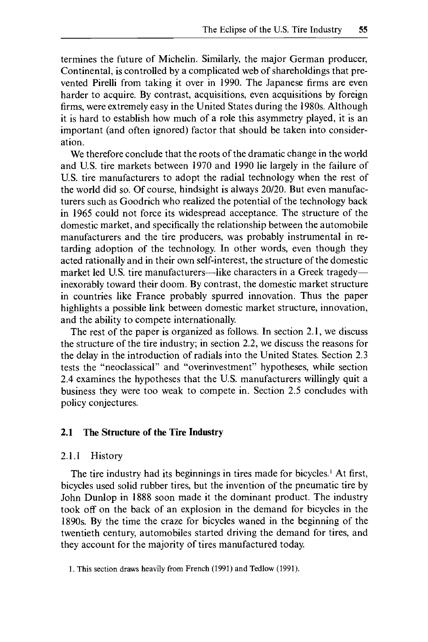termines the future of Michelin. Similarly, the major German producer, Continental, is controlled by a complicated web of shareholdings that prevented Pirelli from taking it over in 1990. The Japanese firms are even harder to acquire. By contrast, acquisitions, even acquisitions by foreign firms, were extremely easy in the United States during the 1980s. Although it is hard to establish how much of a role this asymmetry played, it is an important (and often ignored) factor that should be taken into consideration.

We therefore conclude that the roots of the dramatic change in the world and **U.S.** tire markets between 1970 and 1990 lie largely in the failure of **U.S.** tire manufacturers to adopt the radial technology when the rest of the world did so. Of course, hindsight is always 20/20. But even manufacturers such as Goodrich who realized the potential of the technology back in 1965 could not force its widespread acceptance. The structure of the domestic market, and specifically the relationship between the automobile manufacturers and the tire producers, was probably instrumental in retarding adoption of the technology. In other words, even though they acted rationally and in their own self-interest, the structure of the domestic market led U.S. tire manufacturers-like characters in a Greek tragedyinexorably toward their doom. By contrast, the domestic market structure in countries like France probably spurred innovation. Thus the paper highlights a possible link between domestic market structure, innovation, and the ability to compete internationally.

The rest of the paper is organized as follows. In section 2.1, we discuss the structure of the tire industry; in section 2.2, we discuss the reasons for the delay in the introduction of radials into the United States. Section 2.3 tests the "neoclassical" and "overinvestment" hypotheses, while section **2.4** examines the hypotheses that the U.S. manufacturers willingly quit a business they were too weak to compete in. Section 2.5 concludes with policy conjectures.

### **2.1 The Structure of the Tire Industry**

# 2.1.1 History

The tire industry had its beginnings in tires made for bicycles.' At first, bicycles used solid rubber tires, but the invention of the pneumatic tire by John Dunlop in 1888 soon made it the dominant product. The industry took off on the back of an explosion in the demand for bicycles in the 1890s. By the time the craze for bicycles waned in the beginning of the twentieth century, automobiles started driving the demand for tires, and they account for the majority of tires manufactured today.

<sup>1.</sup> This section draws heavily from French (1991) and Tedlow (1991).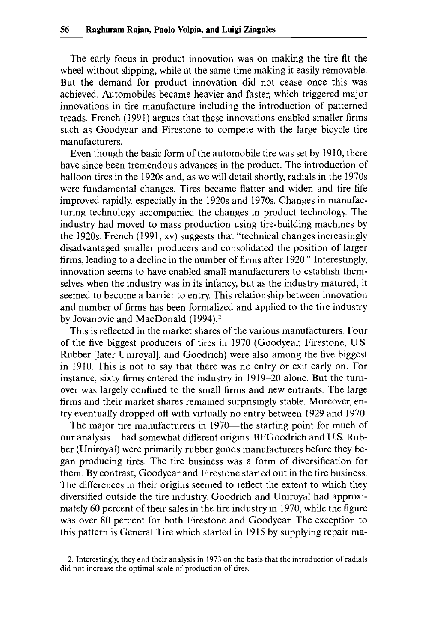The early focus in product innovation was on making the tire fit the wheel without slipping, while at the same time making it easily removable. But the demand for product innovation did not cease once this was achieved. Automobiles became heavier and faster, which triggered major innovations in tire manufacture including the introduction of patterned treads. French (1991) argues that these innovations enabled smaller firms such as Goodyear and Firestone to compete with the large bicycle tire manufacturers.

Even though the basic form of the automobile tire was set by 1910, there have since been tremendous advances in the product. The introduction of balloon tires in the 1920s and, as we will detail shortly, radials in the 1970s were fundamental changes. Tires became flatter and wider, and tire life improved rapidly, especially in the 1920s and 1970s. Changes in manufacturing technology accompanied the changes in product technology. The industry had moved to mass production using tire-building machines by the 1920s. French (1991, xv) suggests that "technical changes increasingly disadvantaged smaller producers and consolidated the position of larger firms, leading to a decline in the number of firms after 1920." Interestingly, innovation seems to have enabled small manufacturers to establish themselves when the industry was in its infancy, but as the industry matured, it seemed to become a barrier to entry. This relationship between innovation and number of firms has been formalized and applied to the tire industry by Jovanovic and MacDonald (1994).<sup>2</sup>

This is reflected in the market shares of the various manufacturers. Four of the five biggest producers of tires in 1970 (Goodyear, Firestone, U.S. Rubber [later Uniroyal], and Goodrich) were also among the five biggest in 1910. This is not to say that there was no entry or exit early on. For instance, sixty firms entered the industry in 1919-20 alone. But the turnover was largely confined to the small firms and new entrants. The large firms and their market shares remained surprisingly stable. Moreover, entry eventually dropped off with virtually no entry between 1929 and 1970.

The major tire manufacturers in 1970—the starting point for much of our analysis-had somewhat different origins. BFGoodrich and US. Rubber (Uniroyal) were primarily rubber goods manufacturers before they began producing tires. The tire business was a form of diversification for them. By contrast, Goodyear and Firestone started out in the tire business. The differences in their origins seemed to reflect the extent to which they diversified outside the tire industry, Goodrich and Uniroyal had approximately 60 percent of their sales in the tire industry in 1970, while the figure was over 80 percent for both Firestone and Goodyear. The exception to this pattern is General Tire which started in 1915 by supplying repair ma-

2. Interestingly, they end their analysis in 1973 on the basis that the introduction of radials did not increase the optimal scale of production of tires.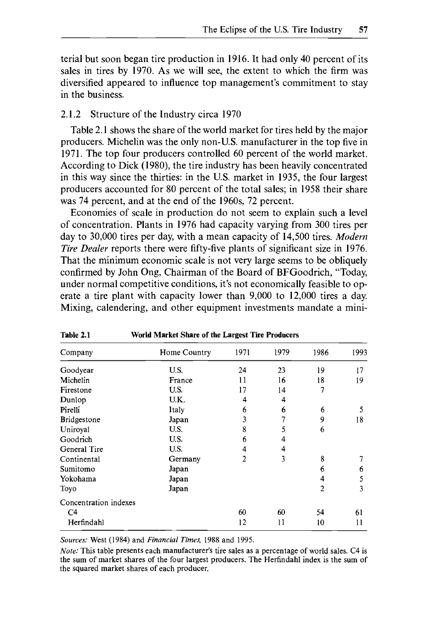terial but soon began tire production in 1916. It had only 40 percent of its sales in tires by 1970. As we will see, the extent to which the firm was diversified appeared to influence top management's commitment to stay in the business.

# **2.1.2** Structure of the Industry circa 1970

Table 2.1 shows the share of the world market for tires held by the major producers. Michelin was the only non-U.S. manufacturer in the top five in 1971. The top four producers controlled 60 percent of the world market. According to Dick (1980), the tire industry has been heavily concentrated in this way since the thirties: in the **U.S.** market in 1935, the four largest producers accounted for 80 percent of the total sales; in 1958 their share was 74 percent, and at the end of the 1960s, 72 percent.

Economies of scale in production do not seem to explain such a level of concentration. Plants in 1976 had capacity varying from 300 tires per day to 30,000 tires per day, with a mean capacity of 14,500 tires. *Modern Tire Dealer* reports there were fifty-five plants of significant size in 1976. That the minimum economic scale is not very large seems to be obliquely confirmed by John Ong, Chairman of the Board of BFGoodrich, "Today, under normal competitive conditions, it's not economically feasible to operate a tire plant with capacity lower than 9,000 to 12,000 tires a day. Mixing, calendering, and other equipment investments mandate a mini-

| Company               | Home Country | 1971           | 1979 | 1986 | 1993 |  |  |  |  |
|-----------------------|--------------|----------------|------|------|------|--|--|--|--|
| Goodyear              | U.S.         | 24             | 23   | 19   | 17   |  |  |  |  |
| Michelin              | France       | 11             | 16   | 18   | 19   |  |  |  |  |
| Firestone             | U.S.         | 17             | 14   | 7    |      |  |  |  |  |
| Dunlop                | U.K.         | 4              | 4    |      |      |  |  |  |  |
| Pirelli               | Italy        | 6              | 6    | 6    | 5    |  |  |  |  |
| <b>Bridgestone</b>    | Japan        | 3              | 7    | 9    | 18   |  |  |  |  |
| Uniroyal              | U.S.         | 8              | 5    | 6    |      |  |  |  |  |
| Goodrich              | U.S.         | 6              | 4    |      |      |  |  |  |  |
| General Tire          | U.S.         | 4              | 4    |      |      |  |  |  |  |
| Continental           | Germany      | $\overline{2}$ | 3    | 8    | 7    |  |  |  |  |
| Sumitomo              | Japan        |                |      | 6    | 6    |  |  |  |  |
| Yokohama              | Japan        |                |      | 4    | 5    |  |  |  |  |
| Toyo                  | Japan        |                |      | 2    | 3    |  |  |  |  |
| Concentration indexes |              |                |      |      |      |  |  |  |  |
| C <sub>4</sub>        |              | 60             | 60   | 54   | 61   |  |  |  |  |
| Herfindahl            |              | 12             | 11   | 10   | 11   |  |  |  |  |

| Table 2.1 | World Market Share of the Largest Tire Producers |
|-----------|--------------------------------------------------|
|-----------|--------------------------------------------------|

*Sources:* West (1984) and *Financial Times,* 1988 and 1995.

*Nore;* This table presents each manufacturer's tire sales as a percentage of world sales. C4 is the sum of market shares of the four largest producers. The Herfindahl index is the sum of the squared market shares of each producer.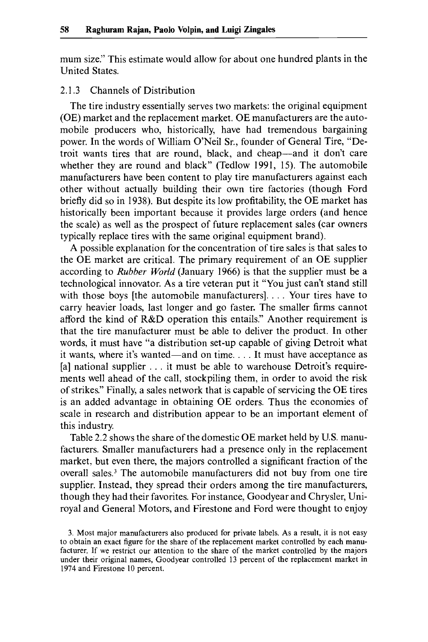mum size." This estimate would allow for about one hundred plants in the United States.

# 2.1.3 Channels of Distribution

The tire industry essentially serves two markets: the original equipment (OE) market and the replacement market. OE manufacturers are the automobile producers who, historically, have had tremendous bargaining power. In the words of William O'Neil Sr., founder of General Tire, "Detroit wants tires that are round, black, and cheap-and it don't care whether they are round and black" (Tedlow 1991, 15). The automobile manufacturers have been content to play tire manufacturers against each other without actually building their own tire factories (though Ford briefly did so in 1938). But despite its low profitability, the OE market has historically been important because it provides large orders (and hence the scale) as well as the prospect of future replacement sales (car owners typically replace tires with the same original equipment brand).

**A** possible explanation for the concentration of tire sales is that sales to the OE market are critical. The primary requirement of an OE supplier according to *Rubber World* (January 1966) is that the supplier must be a technological innovator, **As** a tire veteran put it "You just can't stand still with those boys [the automobile manufacturers]. . . . Your tires have to carry heavier loads, last longer and go faster. The smaller firms cannot afford the kind of R&D operation this entails." Another requirement is that the tire manufacturer must be able to deliver the product. In other words, it must have "a distribution set-up capable of giving Detroit what it wants, where it's wanted—and on time. . . . It must have acceptance as [a] national supplier . . . it must be able to warehouse Detroit's requirements well ahead of the call, stockpiling them, in order to avoid the risk of strikes." Finally, a sales network that is capable of servicing the OE tires is an added advantage in obtaining OE orders. Thus the economies of scale in research and distribution appear to be an important element of this industry.

Table 2.2 shows the share of the domestic OE market held by **U.S.** manufacturers. Smaller manufacturers had a presence only in the replacement market, but even there, the majors controlled a significant fraction of the overall sales.<sup>3</sup> The automobile manufacturers did not buy from one tire supplier. Instead, they spread their orders among the tire manufacturers, though they had their favorites. For instance, Goodyear and Chrysler, Uniroyal and General Motors, and Firestone and Ford were thought to enjoy

**<sup>3.</sup>** Most major manufacturers also produced for private labels. **As** a result, it is not easy to obtain an exact figure for the share of the replacement market controlled by each manufacturer. If we restrict our attention to the share of the market controlled by the majors under their original names, Goodyear controlled 13 percent of the replacement market in 1974 and Firestone 10 percent.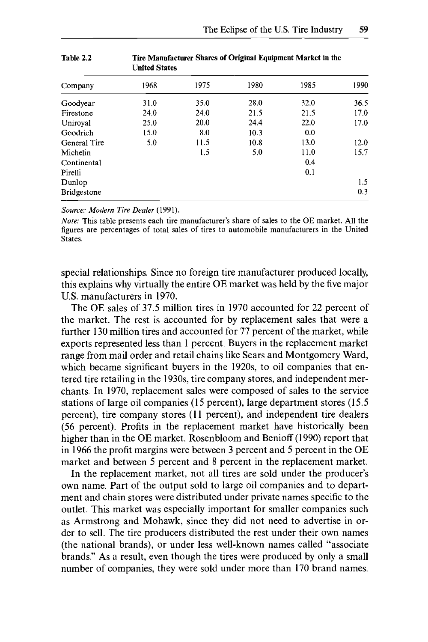|                    | <b>ULIREGE STATES</b> |      |      |      |      |
|--------------------|-----------------------|------|------|------|------|
| Company            | 1968                  | 1975 | 1980 | 1985 | 1990 |
| Goodyear           | 31.0                  | 35.0 | 28.0 | 32.0 | 36.5 |
| Firestone          | 24.0                  | 24.0 | 21.5 | 21.5 | 17.0 |
| Uniroyal           | 25.0                  | 20.0 | 24.4 | 22.0 | 17.0 |
| Goodrich           | 15.0                  | 8.0  | 10.3 | 0.0  |      |
| General Tire       | 5.0                   | 11.5 | 10.8 | 13.0 | 12.0 |
| Michelin           |                       | 1.5  | 5,0  | 11.0 | 15.7 |
| Continental        |                       |      |      | 0.4  |      |
| Pirelli            |                       |      |      | 0.1  |      |
| Dunlop             |                       |      |      |      | 1.5  |
| <b>Bridgestone</b> |                       |      |      |      | 0.3  |

**Table 2.2 Tire Manufacturer Shares of Original Equipment Market in the United States** 

### *Source: Modern Tire Dealer* (1991).

*Note:* This table presents each tire manufacturer's share of sales to the **OE** market. All the figures are percentages of total sales of tires to automobile manufacturers in the United States.

special relationships. Since no foreign tire manufacturer produced locally, this explains why virtually the entire OE market was held by the five major **U.S.** manufacturers in 1970.

The OE sales of 37.5 million tires in 1970 accounted for 22 percent of the market. The rest is accounted for by replacement sales that were a further 130 million tires and accounted for 77 percent of the market, while exports represented less than 1 percent. Buyers in the replacement market range from mail order and retail chains like Sears and Montgomery Ward, which became significant buyers in the 1920s, to oil companies that entered tire retailing in the 1930s, tire company stores, and independent merchants. In 1970, replacement sales were composed of sales to the service stations of large oil companies (15 percent), large department stores (15.5 percent), tire company stores (11 percent), and independent tire dealers (56 percent). Profits in the replacement market have historically been higher than in the OE market. Rosenbloom and Benioff (1990) report that in 1966 the profit margins were between 3 percent and 5 percent in the OE market and between 5 percent and 8 percent in the replacement market.

In the replacement market, not all tires are sold under the producer's own name. Part of the output sold to large oil companies and to department and chain stores were distributed under private names specific to the outlet. This market was especially important for smaller companies such as Armstrong and Mohawk, since they did not need to advertise in order to sell. The tire producers distributed the rest under their own names (the national brands), or under less well-known names called "associate brands." **As** a result, even though the tires were produced by only a small number of companies, they were sold under more than 170 brand names.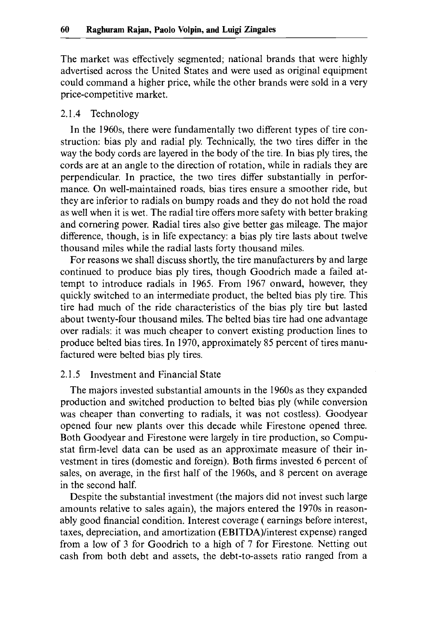The market was effectively segmented; national brands that were highly advertised across the United States and were used as original equipment could command a higher price, while the other brands were sold in a very price-competitive market.

### 2.1.4 Technology

In the 1960s, there were fundamentally two different types of tire construction: bias ply and radial ply. Technically, the two tires differ in the way the body cords are layered in the body of the tire. In bias ply tires, the cords are at an angle to the direction of rotation, while in radials they are perpendicular. In practice, the two tires differ substantially in performance. On well-maintained roads, bias tires ensure a smoother ride, but they are inferior to radials on bumpy roads and they do not hold the road as well when it is wet. The radial tire offers more safety with better braking and cornering power. Radial tires also give better gas mileage. The major difference, though, is in life expectancy: a bias ply tire lasts about twelve thousand miles while the radial lasts forty thousand miles.

For reasons we shall discuss shortly, the tire manufacturers by and large continued to produce bias ply tires, though Goodrich made a failed attempt to introduce radials in 1965. From 1967 onward, however, they quickly switched to an intermediate product, the belted bias ply tire. This tire had much of the ride characteristics of the bias ply tire but lasted about twenty-four thousand miles. The belted bias tire had one advantage over radials: it was much cheaper to convert existing production lines to produce belted bias tires. In 1970, approximately 85 percent of tires manufactured were belted bias ply tires.

### 2.1.5 Investment and Financial State

The majors invested substantial amounts in the 1960s as they expanded production and switched production to belted bias ply (while conversion was cheaper than converting to radials, it was not costless). Goodyear opened four new plants over this decade while Firestone opened three. Both Goodyear and Firestone were largely in tire production, so Compustat firm-level data can be used as an approximate measure of their investment in tires (domestic and foreign). Both firms invested 6 percent of sales, on average, in the first half of the 1960s, and 8 percent on average in the second half.

Despite the substantial investment (the majors did not invest such large amounts relative to sales again), the majors entered the 1970s in reasonably good financial condition. Interest coverage ( earnings before interest, taxes, depreciation, and amortization (EBITDA)/interest expense) ranged from a low of **3** for Goodrich to a high of 7 for Firestone. Netting out cash from both debt and assets, the debt-to-assets ratio ranged from a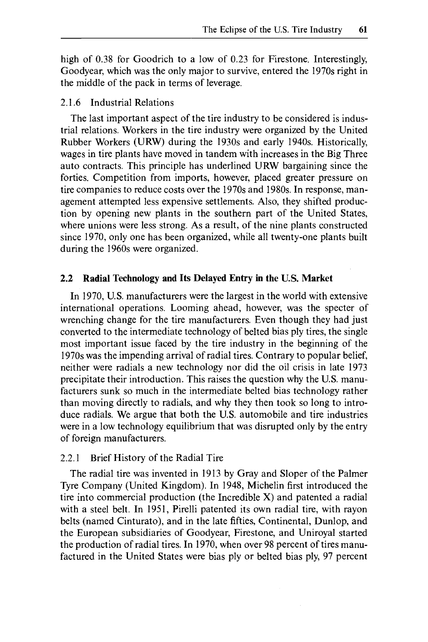high of 0.38 for Goodrich to a low of 0.23 for Firestone. Interestingly, Goodyear, which was the only major to survive, entered the 1970s right in the middle of the pack in terms of leverage.

## 2.1.6 Industrial Relations

The last important aspect of the tire industry to be considered is industrial relations. Workers in the tire industry were organized by the United Rubber Workers (URW) during the 1930s and early 1940s. Historically, wages in tire plants have moved in tandem with increases in the Big Three auto contracts. This principle has underlined URW bargaining since the forties. Competition from imports, however, placed greater pressure on tire companies to reduce costs over the 1970s and 1980s. In response, management attempted less expensive settlements. Also, they shifted production by opening new plants in the southern part of the United States, where unions were less strong. **As** a result, of the nine plants constructed since 1970, only one has been organized, while all twenty-one plants built during the 1960s were organized.

### **2.2 Radial Technology and Its Delayed Entry in the U.S. Market**

In 1970, **U.S.** manufacturers were the largest in the world with extensive international operations. Looming ahead, however, was the specter of wrenching change for the tire manufacturers. Even though they had just converted to the intermediate technology of belted bias ply tires, the single most important issue faced by the tire industry in the beginning of the 1970s was the impending arrival of radial tires. Contrary to popular belief, neither were radials a new technology nor did the oil crisis in late 1973 precipitate their introduction. This raises the question why the US. manufacturers sunk so much in the intermediate belted bias technology rather than moving directly to radials, and why they then took so long to introduce radials. We argue that both the U.S. automobile and tire industries were in a low technology equilibrium that was disrupted only by the entry of foreign manufacturers.

#### 2.2.1 Brief History of the Radial Tire

The radial tire was invented in 1913 by Gray and Sloper of the Palmer Tyre Company (United Kingdom). In 1948, Michelin first introduced the tire into commercial production (the Incredible **X)** and patented a radial with a steel belt. In 1951, Pirelli patented its own radial tire, with rayon belts (named Cinturato), and in the late fifties, Continental, Dunlop, and the European subsidiaries of Goodyear, Firestone, and Uniroyal started the production of radial tires. In 1970, when over 98 percent of tires manufactured in the United States were bias ply or belted bias ply, 97 percent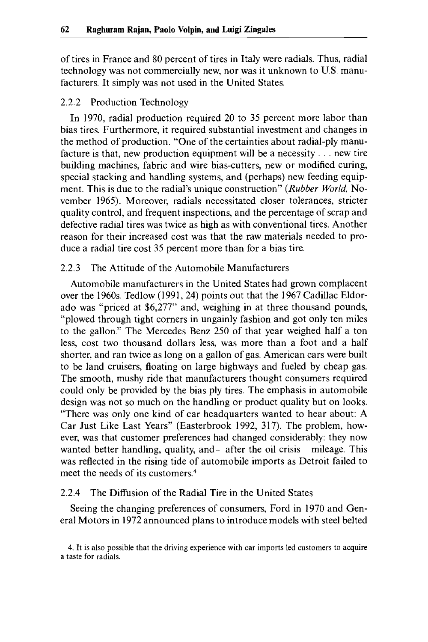of tires in France and 80 percent of tires in Italy were radials. Thus, radial technology was not commercially new, nor was it unknown to **U.S.** manufacturers. It simply was not used in the United States.

### 2.2.2 Production Technology

In 1970, radial production required 20 to 35 percent more labor than bias tires. Furthermore, it required substantial investment and changes in the method of production. "One of the certainties about radial-ply manufacture is that, new production equipment will be a necessity . . . new tire building machines, fabric and wire bias-cutters, new or modified curing, special stacking and handling systems, and (perhaps) new feeding equipment. This is due to the radial's unique construction" *(Rubber World,* November 1965). Moreover, radials necessitated closer tolerances, stricter quality control, and frequent inspections, and the percentage of scrap and defective radial tires was twice as high as with conventional tires. Another reason for their increased cost was that the raw materials needed to produce a radial tire cost 35 percent more than for a bias tire.

#### 2.2.3 The Attitude of the Automobile Manufacturers

Automobile manufacturers in the United States had grown complacent over the 1960s. Tedlow (1991,24) points out that the 1967 Cadillac Eldorado was "priced at \$6,277" and, weighing in at three thousand pounds, "plowed through tight corners in ungainly fashion and got only ten miles to the gallon." The Mercedes Benz 250 of that year weighed half a ton less, cost two thousand dollars less, was more than a foot and a half shorter, and ran twice as long on a gallon of gas. American cars were built to be land cruisers, floating on large highways and fueled by cheap gas. The smooth, mushy ride that manufacturers thought consumers required could only be provided by the bias ply tires. The emphasis in automobile design was not so much on the handling or product quality but on looks. "There was only one kind of car headquarters wanted to hear about: A Car Just Like Last Years" (Easterbrook 1992, 317). The problem, however, was that customer preferences had changed considerably: they now wanted better handling, quality, and—after the oil crisis—mileage. This was reflected in the rising tide of automobile imports as Detroit failed to meet the needs of its customers.<sup>4</sup>

# 2.2.4 The Diffusion of the Radial Tire in the United States

Seeing the changing preferences of consumers, Ford in 1970 and General Motors in 1972 announced plans to introduce models with steel belted

**4.** It is also possible that the driving experience with car imports led customers to acquire a taste for radials.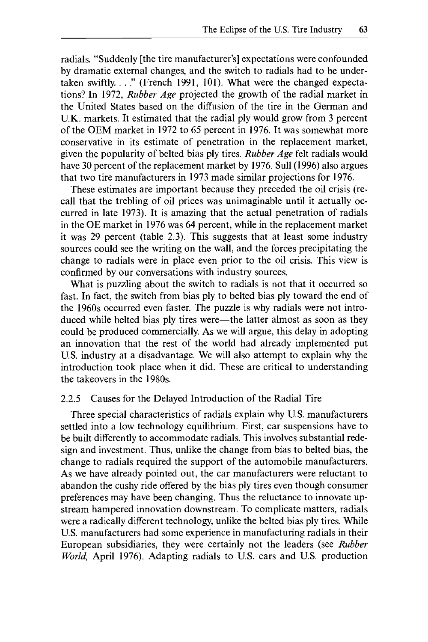radials. "Suddenly [the tire manufacturer's] expectations were confounded by dramatic external changes, and the switch to radials had to be undertaken swiftly. . ." (French 1991, 101). What were the changed expectations? In 1972, *Rubber Age* projected the growth of the radial market in the United States based on the diffusion of the tire in the German and **U.K.** markets. It estimated that the radial ply would grow from 3 percent of the OEM market in 1972 to 65 percent in 1976. It was somewhat more conservative in its estimate of penetration in the replacement market, given the popularity of belted bias ply tires. *Rubber Age* felt radials would have 30 percent of the replacement market by 1976. Sull (1996) also argues that two tire manufacturers in 1973 made similar projections for 1976.

These estimates are important because they preceded the oil crisis (recall that the trebling of oil prices was unimaginable until it actually occurred in late 1973). It is amazing that the actual penetration of radials in the OE market in 1976 was 64 percent, while in the replacement market it was 29 percent (table 2.3). This suggests that at least some industry sources could see the writing on the wall, and the forces precipitating the change to radials were in place even prior to the oil crisis. This view is confirmed by our conversations with industry sources.

What is puzzling about the switch to radials is not that it occurred so fast. In fact, the switch from bias ply to belted bias ply toward the end of the 1960s occurred even faster. The puzzle is why radials were not introduced while belted bias ply tires were—the latter almost as soon as they could be produced commercially. **As** we will argue, this delay in adopting an innovation that the rest of the world had already implemented put US. industry at a disadvantage. We will also attempt to explain why the introduction took place when it did. These are critical to understanding the takeovers in the 1980s.

# 2.2.5 Causes for the Delayed Introduction of the Radial Tire

Three special characteristics of radials explain why U.S. manufacturers settled into a low technology equilibrium. First, car suspensions have to be built differently to accommodate radials. This involves substantial redesign and investment. Thus, unlike the change from bias to belted bias, the change to radials required the support of the automobile manufacturers. **As** we have already pointed out, the car manufacturers were reluctant to abandon the cushy ride offered by the bias ply tires even though consumer preferences may have been changing. Thus the reluctance to innovate upstream hampered innovation downstream. To complicate matters, radials were a radically different technology, unlike the belted bias ply tires. While U.S. manufacturers had some experience in manufacturing radials in their European subsidiaries, they were certainly not the leaders (see *Rubber World,* April 1976). Adapting radials to **US.** cars and **U.S.** production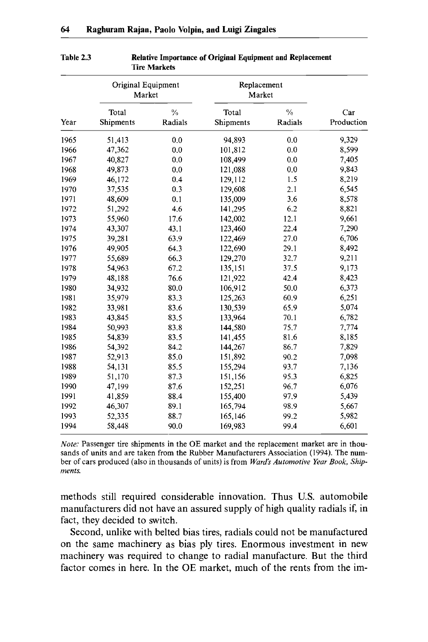|      |                    | Original Equipment<br>Market |                    | Replacement<br>Market    |                   |  |
|------|--------------------|------------------------------|--------------------|--------------------------|-------------------|--|
| Year | Total<br>Shipments | $\frac{0}{0}$<br>Radials     | Total<br>Shipments | $\frac{0}{6}$<br>Radials | Car<br>Production |  |
| 1965 | 51,413             | 0.0                          | 94,893             | 0.0                      | 9,329             |  |
| 1966 | 47,362             | 0.0                          | 101,812            | 0.0                      | 8,599             |  |
| 1967 | 40,827             | 0.0                          | 108,499            | 0.0                      | 7,405             |  |
| 1968 | 49,873             | 0.0                          | 121,088            | 0.0                      | 9,843             |  |
| 1969 | 46,172             | 0.4                          | 129,112            | 1.5                      | 8,219             |  |
| 1970 | 37,535             | 0.3                          | 129,608            | 2.1                      | 6,545             |  |
| 1971 | 48,609             | 0.1                          | 135,009            | 3.6                      | 8,578             |  |
| 1972 | 51,292             | 4.6                          | 141,295            | 6.2                      | 8,821             |  |
| 1973 | 55,960             | 17.6                         | 142,002            | 12.1                     | 9,661             |  |
| 1974 | 43,307             | 43.1                         | 123,460            | 22.4                     | 7,290             |  |
| 1975 | 39,281             | 63.9                         | 122,469            | 27.0                     | 6,706             |  |
| 1976 | 49,905             | 64.3                         | 122,690            | 29.1                     | 8,492             |  |
| 1977 | 55,689             | 66.3                         | 129,270            | 32.7                     | 9,211             |  |
| 1978 | 54,963             | 67.2                         | 135,151            | 37.5                     | 9,173             |  |
| 1979 | 48,188             | 76.6                         | 121,922            | 42.4                     | 8,423             |  |
| 1980 | 34,932             | 80.0                         | 106,912            | 50.0                     | 6,373             |  |
| 1981 | 35,979             | 83.3                         | 125,263            | 60.9                     | 6,251             |  |
| 1982 | 33,981             | 83.6                         | 130,539            | 65.9                     | 5,074             |  |
| 1983 | 43,845             | 83.5                         | 133,964            | 70.1                     | 6,782             |  |
| 1984 | 50,993             | 83.8                         | 144,580            | 75.7                     | 7,774             |  |
| 1985 | 54,839             | 83.5                         | 141,455            | 81.6                     | 8,185             |  |
| 1986 | 54,392             | 84.2                         | 144,267            | 86.7                     | 7,829             |  |
| 1987 | 52,913             | 85.0                         | 151,892            | 90.2                     | 7,098             |  |
| 1988 | 54,131             | 85.5                         | 155,294            | 93.7                     | 7,136             |  |
| 1989 | 51,170             | 87.3                         | 151,156            | 95.3                     | 6,825             |  |
| 1990 | 47,199             | 87.6                         | 152,251            | 96.7                     | 6,076             |  |
| 1991 | 41,859             | 88.4                         | 155,400            | 97.9                     | 5,439             |  |
| 1992 | 46,307             | 89.1                         | 165,794            | 98.9                     | 5,667             |  |
| 1993 | 52,335             | 88.7                         | 165,146            | 99.2                     | 5,982             |  |
| 1994 | 58,448             | 90.0                         | 169,983            | 99.4                     | 6,601             |  |

### **Table 2.3 Relative Importance of Original Equipment and Replacement Tire Markets**

*Note:* Passenger tire shipments in the OE market and the replacement market are in thousands of units and are taken from the Rubber Manufacturers Association (1994). The number of cars produced (also in thousands of units) is from *Ward's Automotive Year Book, Shipments.* 

methods still required considerable innovation. Thus **US.** automobile manufacturers did not have an assured supply of high quality radials if, in fact, they decided to switch.

Second, unlike with belted bias tires, radials could not be manufactured on the same machinery as bias ply tires. Enormous investment in new machinery was required to change to radial manufacture. But the third factor comes in here. In the OE market. much of the rents from the im-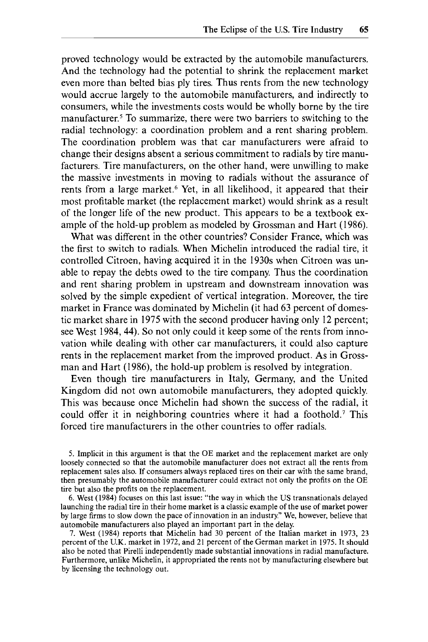proved technology would be extracted by the automobile manufacturers. And the technology had the potential to shrink the replacement market even more than belted bias ply tires. Thus rents from the new technology would accrue largely to the automobile manufacturers, and indirectly to consumers, while the investments costs would be wholly borne by the tire manufacturer.<sup>5</sup> To summarize, there were two barriers to switching to the radial technology: a coordination problem and a rent sharing problem. The coordination problem was that car manufacturers were afraid to change their designs absent a serious commitment to radials by tire manufacturers. Tire manufacturers, on the other hand, were unwilling to make the massive investments in moving to radials without the assurance of rents from a large market.<sup>6</sup> Yet, in all likelihood, it appeared that their most profitable market (the replacement market) would shrink as a result of the longer life of the new product. This appears to be a textbook example of the hold-up problem as modeled by Grossman and Hart (1986).

What was different in the other countries? Consider France, which was the first to switch to radials. When Michelin introduced the radial tire, it controlled Citroen, having acquired it in the 1930s when Citroen was unable to repay the debts owed to the tire company. Thus the coordination and rent sharing problem in upstream and downstream innovation was solved by the simple expedient of vertical integration. Moreover, the tire market in France was dominated by Michelin (it had 63 percent of domestic market share in 1975 with the second producer having only 12 percent; see West 1984,44). **So** not only could it keep some of the rents from innovation while dealing with other car manufacturers, it could also capture rents in the replacement market from the improved product. As in Grossman and Hart (1986), the hold-up problem is resolved by integration.

Even though tire manufacturers in Italy, Germany, and the United Kingdom did not own automobile manufacturers, they adopted quickly. This was because once Michelin had shown the success of the radial, it could offer it in neighboring countries where it had a foothold.<sup> $7$ </sup> This forced tire manufacturers in the other countries to offer radials.

*5.* Implicit in this argument is that the OE market and the replacement market are only loosely connected so that the automobile manufacturer does not extract all the rents from replacement sales also. **If** consumers always replaced tires on their car with the same brand, then presumably the automobile manufacturer could extract not only the profits on the OE tire but also the profits on the replacement.

6. West (1984) focuses on this last issue: "the way in which the **US** transnationals delayed launching the radial tire in their home market is a classic example of the use of market power by large firms to slow down the pace of innovation in an industry" We, however, believe that automobile manufacturers also played an important part in the delay.

7. West (1984) reports that Michelin had **30** percent of the Italian market in 1973, **23**  percent of the U.K. market in 1972, and 21 percent of the German market in 1975. It should also be noted that Pirelli independently made substantial innovations in radial manufacture. Furthermore, unlike Michelin, it appropriated the rents not by manufacturing elsewhere but by licensing the technology out.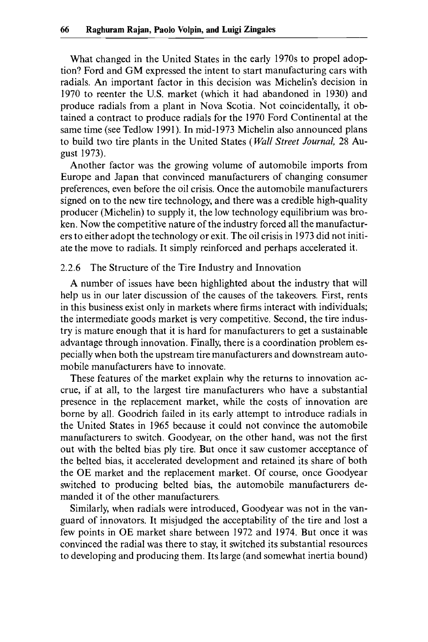What changed in the United States in the early 1970s to propel adoption? Ford and GM expressed the intent to start manufacturing cars with radials. An important factor in this decision was Michelin's decision in 1970 to reenter the U.S. market (which it had abandoned in 1930) and produce radials from a plant in Nova Scotia. Not coincidentally, it obtained a contract to produce radials for the 1970 Ford Continental at the same time (see Tedlow 1991). In mid-1973 Michelin also announced plans to build two tire plants in the United States *(Wall Street Journal,* 28 August 1973).

Another factor was the growing volume of automobile imports from Europe and Japan that convinced manufacturers of changing consumer preferences, even before the oil crisis. Once the automobile manufacturers signed on to the new tire technology, and there was a credible high-quality producer (Michelin) to supply it, the low technology equilibrium was broken. Now the competitive nature of the industry forced all the manufacturers to either adopt the technology or exit. The oil crisis in 1973 did not initiate the move to radials. It simply reinforced and perhaps accelerated it.

### 2.2.6 The Structure of the Tire Industry and Innovation

**A** number of issues have been highlighted about the industry that will help us in our later discussion of the causes of the takeovers. First, rents in this business exist only in markets where firms interact with individuals; the intermediate goods market is very competitive. Second, the tire industry is mature enough that it is hard for manufacturers to get a sustainable advantage through innovation. Finally, there is a coordination problem especially when both the upstream tire manufacturers and downstream automobile manufacturers have to innovate.

These features of the market explain why the returns to innovation accrue, if at all, to the largest tire manufacturers who have a substantial presence in the replacement market, while the costs of innovation are borne by all. Goodrich failed in its early attempt to introduce radials in the United States in 1965 because it could not convince the automobile manufacturers to switch. Goodyear, on the other hand, was not the first out with the belted bias ply tire. But once it saw customer acceptance of the belted bias, it accelerated development and retained its share of both the OE market and the replacement market. Of course, once Goodyear switched to producing belted bias, the automobile manufacturers demanded it of the other manufacturers.

Similarly, when radials were introduced, Goodyear was not in the vanguard of innovators. It misjudged the acceptability of the tire and lost a few points in OE market share between 1972 and 1974. But once it was convinced the radial was there to stay, it switched its substantial resources to developing and producing them. Its large (and somewhat inertia bound)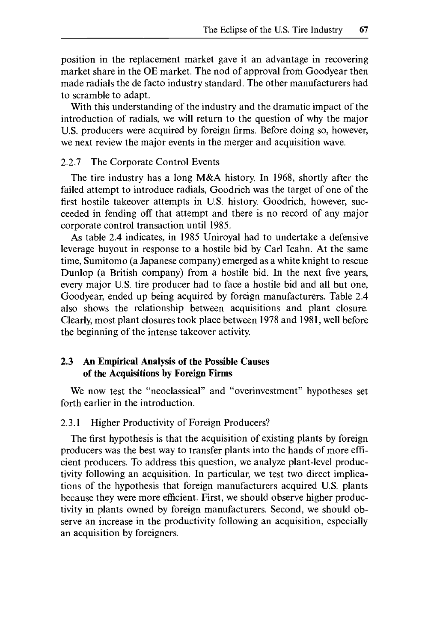position in the replacement market gave it an advantage in recovering market share in the OE market. The nod of approval from Goodyear then made radials the de facto industry standard. The other manufacturers had to scramble to adapt.

With this understanding of the industry and the dramatic impact of the introduction of radials, we will return to the question of why the major **U.S.** producers were acquired by foreign firms. Before doing so, however, we next review the major events in the merger and acquisition wave.

# 2.2.7 The Corporate Control Events

The tire industry has a long M&A history. In 1968, shortly after the failed attempt to introduce radials, Goodrich was the target of one of the first hostile takeover attempts in U.S. history. Goodrich, however, succeeded in fending off that attempt and there is no record of any major corporate control transaction until 1985.

As table **2.4** indicates, in 1985 Uniroyal had to undertake a defensive leverage buyout in response to a hostile bid by Carl Icahn. At the same time, Sumitomo (a Japanese company) emerged as a white knight to rescue Dunlop (a British company) from a hostile bid. In the next five years, every major **U.S.** tire producer had to face a hostile bid and all but one, Goodyear, ended up being acquired by foreign manufacturers. Table **2.4**  also shows the relationship between acquisitions and plant closure. Clearly, most plant closures took place between 1978 and 1981, well before the beginning of the intense takeover activity.

# **2.3 An Empirical Analysis of the Possible Causes of the Acquisitions by Foreign Firms**

We now test the "neoclassical" and "overinvestment" hypotheses set forth earlier in the introduction.

#### 2.3.1 Higher Productivity of Foreign Producers?

The first hypothesis **is** that the acquisition of existing plants by foreign producers was the best way to transfer plants into the hands of more efficient producers. To address this question, we analyze plant-level productivity following an acquisition. In particular, we test two direct implications of the hypothesis that foreign manufacturers acquired **U.S.** plants because they were more efficient. First, we should observe higher productivity in plants owned by foreign manufacturers. Second, we should observe an increase in the productivity following an acquisition, especially an acquisition by foreigners.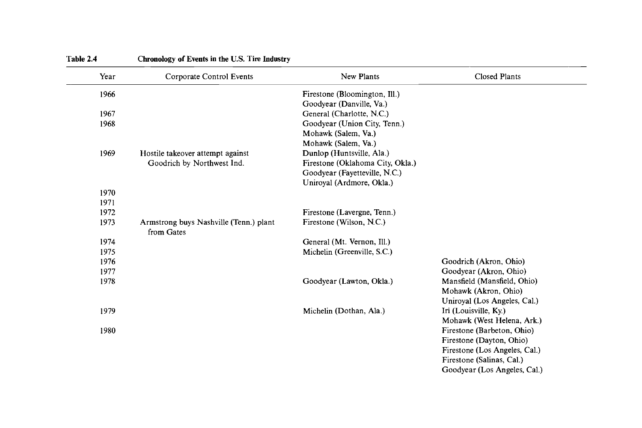| Year | Corporate Control Events               | New Plants                       | Closed Plants                 |
|------|----------------------------------------|----------------------------------|-------------------------------|
| 1966 |                                        | Firestone (Bloomington, Ill.)    |                               |
|      |                                        | Goodyear (Danville, Va.)         |                               |
| 1967 |                                        | General (Charlotte, N.C.)        |                               |
| 1968 |                                        | Goodyear (Union City, Tenn.)     |                               |
|      |                                        | Mohawk (Salem, Va.)              |                               |
|      |                                        | Mohawk (Salem, Va.)              |                               |
| 1969 | Hostile takeover attempt against       | Dunlop (Huntsville, Ala.)        |                               |
|      | Goodrich by Northwest Ind.             | Firestone (Oklahoma City, Okla.) |                               |
|      |                                        | Goodyear (Fayetteville, N.C.)    |                               |
|      |                                        | Uniroyal (Ardmore, Okla.)        |                               |
| 1970 |                                        |                                  |                               |
| 1971 |                                        |                                  |                               |
| 1972 |                                        | Firestone (Lavergne, Tenn.)      |                               |
| 1973 | Armstrong buys Nashville (Tenn.) plant | Firestone (Wilson, N.C.)         |                               |
|      | from Gates                             |                                  |                               |
| 1974 |                                        | General (Mt. Vernon, Ill.)       |                               |
| 1975 |                                        | Michelin (Greenville, S.C.)      |                               |
| 1976 |                                        |                                  | Goodrich (Akron, Ohio)        |
| 1977 |                                        |                                  | Goodyear (Akron, Ohio)        |
| 1978 |                                        | Goodyear (Lawton, Okla.)         | Mansfield (Mansfield, Ohio)   |
|      |                                        |                                  | Mohawk (Akron, Ohio)          |
|      |                                        |                                  | Uniroyal (Los Angeles, Cal.)  |
| 1979 |                                        | Michelin (Dothan, Ala.)          | Iri (Louisville, Ky.)         |
|      |                                        |                                  | Mohawk (West Helena, Ark.)    |
| 1980 |                                        |                                  | Firestone (Barbeton, Ohio)    |
|      |                                        |                                  | Firestone (Dayton, Ohio)      |
|      |                                        |                                  | Firestone (Los Angeles, Cal.) |
|      |                                        |                                  | Firestone (Salinas, Cal.)     |
|      |                                        |                                  | Goodyear (Los Angeles, Cal.)  |

# **Table 2.4 Chronology of Events in the U.S. Tire Industry**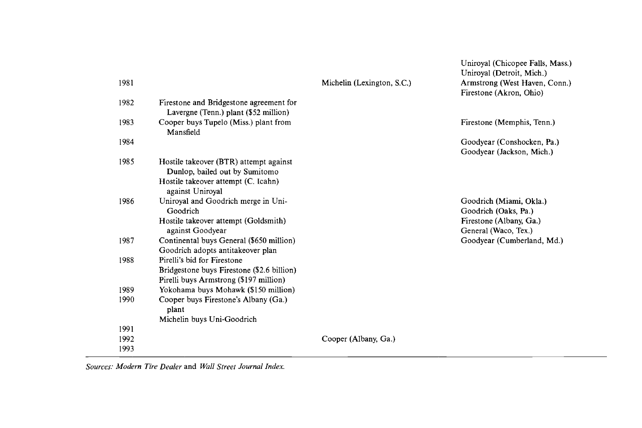|      |                                                    |                            | Uniroyal (Detroit, Mich.)     |
|------|----------------------------------------------------|----------------------------|-------------------------------|
| 1981 |                                                    | Michelin (Lexington, S.C.) | Armstrong (West Haven, Conn.) |
|      |                                                    |                            | Firestone (Akron, Ohio)       |
| 1982 | Firestone and Bridgestone agreement for            |                            |                               |
|      | Lavergne (Tenn.) plant (\$52 million)              |                            |                               |
| 1983 | Cooper buys Tupelo (Miss.) plant from<br>Mansfield |                            | Firestone (Memphis, Tenn.)    |
| 1984 |                                                    |                            | Goodyear (Conshocken, Pa.)    |
|      |                                                    |                            | Goodyear (Jackson, Mich.)     |
| 1985 | Hostile takeover (BTR) attempt against             |                            |                               |
|      | Dunlop, bailed out by Sumitomo                     |                            |                               |
|      | Hostile takeover attempt (C. Icahn)                |                            |                               |
|      | against Uniroyal                                   |                            |                               |
| 1986 | Uniroyal and Goodrich merge in Uni-                |                            | Goodrich (Miami, Okla.)       |
|      | Goodrich                                           |                            | Goodrich (Oaks, Pa.)          |
|      | Hostile takeover attempt (Goldsmith)               |                            | Firestone (Albany, Ga.)       |
|      | against Goodyear                                   |                            | General (Waco, Tex.)          |
| 1987 | Continental buys General (\$650 million)           |                            | Goodyear (Cumberland, Md.)    |
|      | Goodrich adopts antitakeover plan                  |                            |                               |
| 1988 | Pirelli's bid for Firestone                        |                            |                               |
|      | Bridgestone buys Firestone (\$2.6 billion)         |                            |                               |
|      | Pirelli buys Armstrong (\$197 million)             |                            |                               |
| 1989 | Yokohama buys Mohawk (\$150 million)               |                            |                               |
| 1990 | Cooper buys Firestone's Albany (Ga.)<br>plant      |                            |                               |
|      | Michelin buys Uni-Goodrich                         |                            |                               |
| 1991 |                                                    |                            |                               |
| 1992 |                                                    | Cooper (Albany, Ga.)       |                               |
| 1993 |                                                    |                            |                               |

Uniroyal (Chicopee Falls, Mass.)

*Sources: Modern Tire Dealer* and *Wall Street Journal Index.*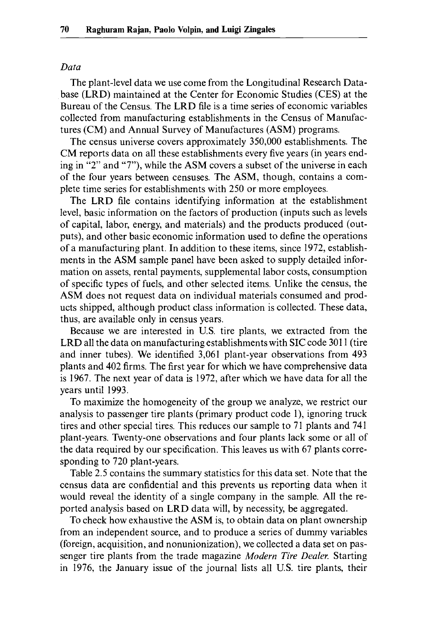# *Data*

The plant-level data we use come from the Longitudinal Research Database (LRD) maintained at the Center for Economic Studies (CES) at the Bureau of the Census. The LRD file is a time series of economic variables collected from manufacturing establishments in the Census of Manufactures (CM) and Annual Survey of Manufactures (ASM) programs.

The census universe covers approximately 350,000 establishments. The CM reports data on all these establishments every five years (in years ending in "2" and "7"), while the ASM covers a subset of the universe in each of the four years between censuses. The ASM, though, contains a complete time series for establishments with 250 or more employees.

The LRD file contains identifying information at the establishment level, basic information on the factors of production (inputs such as levels of capital, labor, energy, and materials) and the products produced (outputs), and other basic economic information used to define the operations of a manufacturing plant. In addition to these items, since 1972, establishments in the ASM sample panel have been asked to supply detailed information on assets, rental payments, supplemental labor costs, consumption of specific types of fuels, and other selected items. Unlike the census, the ASM does not request data on individual materials consumed and products shipped, although product class information is collected. These data, thus, are available only in census years.

Because we are interested in **U.S.** tire plants, we extracted from the LRD all the data on manufacturing establishments with SIC code **301** 1 (tire and inner tubes). We identified 3,061 plant-year observations from 493 plants and 402 firms. The first year for which we have comprehensive data is 1967. The next year of data is 1972, after which we have data for all the years until 1993.

To maximize the homogeneity of the group we analyze, we restrict our analysis to passenger tire plants (primary product code l), ignoring truck tires and other special tires. This reduces our sample to 71 plants and 741 plant-years. Twenty-one observations and four plants lack some or all of the data required by our specification. This leaves us with 67 plants corresponding to 720 plant-years.

Table 2.5 contains the summary statistics for this data set. Note that the census data are confidential and this prevents us reporting data when it would reveal the identity of a single company in the sample. All the reported analysis based on LRD data will, by necessity, be aggregated.

To check how exhaustive the ASM is, to obtain data on plant ownership from an independent source, and to produce a series of dummy variables (foreign, acquisition, and nonunionization), we collected a data set on passenger tire plants from the trade magazine *Modern Tire Dealer.* Starting in 1976, the January issue of the journal lists all **U.S.** tire plants, their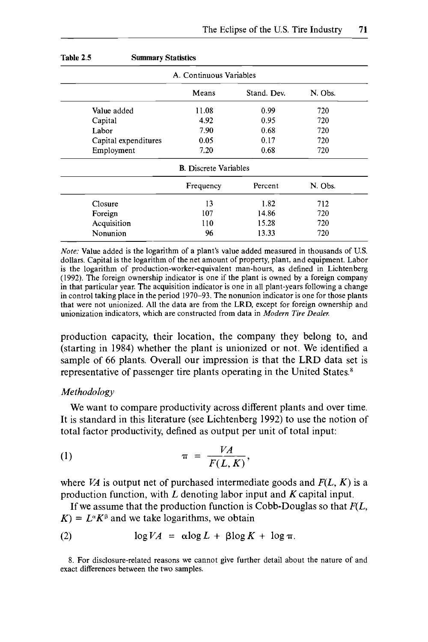| A. Continuous Variables |                              |             |         |  |  |
|-------------------------|------------------------------|-------------|---------|--|--|
|                         | Means                        | Stand. Dev. | N. Obs. |  |  |
| Value added             | 11.08                        | 0.99        | 720     |  |  |
| Capital                 | 4.92                         | 0.95        | 720     |  |  |
| Labor                   | 7.90                         | 0.68        | 720     |  |  |
| Capital expenditures    | 0.05                         | 0.17        | 720     |  |  |
| Employment              | 7.20                         | 0.68        | 720     |  |  |
|                         | <b>B.</b> Discrete Variables |             |         |  |  |
|                         | Frequency                    | Percent     | N. Obs. |  |  |
| Closure                 | 13                           | 1.82        | 712     |  |  |
| Foreign                 | 107                          | 14.86       | 720     |  |  |
| Acquisition             | 110                          | 15.28       | 720     |  |  |
| Nonunion                | 96                           | 13.33       | 720     |  |  |

### **Table 2.5 Summary Statistics**

*Note:* Value added is the logarithm of a plant's value added measured in thousands of U.S. dollars. Capital is the logarithm of the net amount of property, plant, and equipment. Labor is the logarithm of production-worker-equivalent man-hours, as defined in Lichtenberg (1992). The foreign ownership indicator is one if the plant is owned by a foreign company in that particular year. The acquisition indicator is one in all plant-years following a change in control taking place in the period 1970-93. The nonunion indicator is one for those plants that were not unionized. All the data are from the LRD, except for foreign ownership and unionization indicators. which are constructed from data in *Modern Tire Dealer.* 

production capacity, their location, the company they belong to, and (starting in 1984) whether the plant is unionized or not. We identified a sample of 66 plants. Overall our impression is that the **LRD** data set is representative of passenger tire plants operating in the United States.<sup>8</sup>

### *Methodology*

We want to compare productivity across different plants and over time. It is standard in this literature (see Lichtenberg 1992) to use the notion of total factor productivity, defined as output per unit of total input:

$$
\pi = \frac{VA}{F(L, K)},
$$

where *VA* is output net of purchased intermediate goods and  $F(L, K)$  is a production function, with L denoting labor input and *K* capital input.

If we assume that the production function is Cobb-Douglas so that  $F(L)$ ,  $K = L^{\alpha} K^{\beta}$  and we take logarithms, we obtain

(2) 
$$
\log VA = \alpha \log L + \beta \log K + \log \pi.
$$

8. For disclosure-related reasons we cannot give further detail about the nature of and exact differences between the two samples.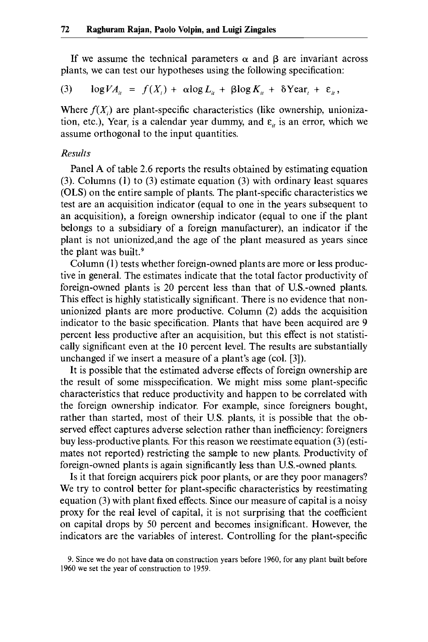If we assume the technical parameters  $\alpha$  and  $\beta$  are invariant across plants, we can test our hypotheses using the following specification:

(3) 
$$
\log V A_{ii} = f(X_i) + \alpha \log L_{ii} + \beta \log K_{ii} + \delta Y \text{ear}_i + \varepsilon_{ii},
$$

Where  $f(X_i)$  are plant-specific characteristics (like ownership, unionization, etc.), Year, is a calendar year dummy, and  $\varepsilon_{ij}$  is an error, which we assume orthogonal to the input quantities.

# *Results*

Panel **A** of table 2.6 reports the results obtained by estimating equation (3). Columns (1) to (3) estimate equation (3) with ordinary least squares **(OLS)** on the entire sample of plants. The plant-specific characteristics we test are an acquisition indicator (equal to one in the years subsequent to an acquisition), a foreign ownership indicator (equal to one if the plant belongs to a subsidiary of a foreign manufacturer), an indicator if the plant is not unionized,and the age of the plant measured as years since the plant was built.<sup>9</sup>

Column (1) tests whether foreign-owned plants are more or less productive in general. The estimates indicate that the total factor productivity of foreign-owned plants is 20 percent less than that of U.S.-owned plants. This effect is highly statistically significant. There is no evidence that nonunionized plants are more productive. Column (2) adds the acquisition indicator to the basic specification. Plants that have been acquired are 9 percent less productive after an acquisition, but this effect is not statistically significant even at the 10 percent level. The results are substantially unchanged if we insert a measure of a plant's age (col. [3]).

It is possible that the estimated adverse effects of foreign ownership are the result of some misspecification. We might miss some plant-specific characteristics that reduce productivity and happen to be correlated with the foreign ownership indicator. For example, since foreigners bought, rather than started, most of their U.S. plants, it is possible that the observed effect captures adverse selection rather than inefficiency: foreigners buy less-productive plants. For this reason we reestimate equation (3) (estimates not reported) restricting the sample to new plants. Productivity of foreign-owned plants is again significantly less than U.S.-owned plants.

Is it that foreign acquirers pick poor plants, or are they poor managers? We try to control better for plant-specific characteristics by reestimating equation (3) with plant fixed effects. Since our measure of capital is a noisy proxy for the real level of capital, it is not surprising that the coefficient on capital drops by *50* percent and becomes insignificant. However, the indicators are the variables of interest. Controlling for the plant-specific

<sup>9.</sup> Since we do not have data on construction years before 1960, for any plant built before 1960 we set the year of construction to 1959.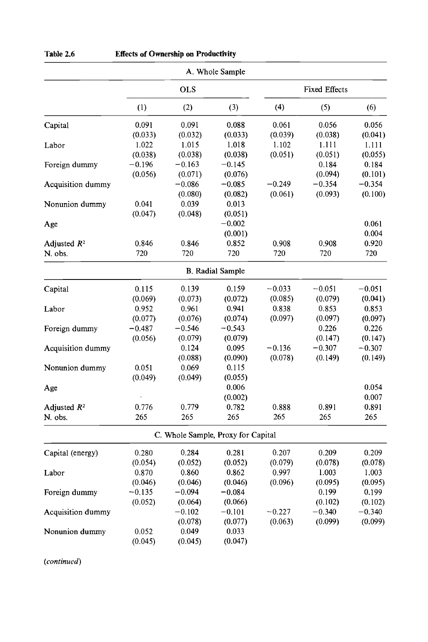|                          |          |            | A. Whole Sample                    |          |                      |          |
|--------------------------|----------|------------|------------------------------------|----------|----------------------|----------|
|                          |          | <b>OLS</b> |                                    |          | <b>Fixed Effects</b> |          |
|                          | (1)      | (2)        | (3)                                | (4)      | (5)                  | (6)      |
| Capital                  | 0.091    | 0.091      | 0.088                              | 0.061    | 0.056                | 0.056    |
|                          | (0.033)  | (0.032)    | (0.033)                            | (0.039)  | (0.038)              | (0.041)  |
| Labor                    | 1.022    | 1.015      | 1.018                              | 1.102    | 1.111                | 1.111    |
|                          | (0.038)  | (0.038)    | (0.038)                            | (0.051)  | (0.051)              | (0.055)  |
| Foreign dummy            | $-0.196$ | $-0.163$   | $-0.145$                           |          | 0.184                | 0.184    |
|                          | (0.056)  | (0.071)    | (0.076)                            |          | (0.094)              | (0.101)  |
| <b>Acquisition dummy</b> |          | $-0.086$   | $-0.085$                           | $-0.249$ | $-0.354$             | $-0.354$ |
|                          |          | (0.080)    | (0.082)                            | (0.061)  | (0.093)              | (0.100)  |
| Nonunion dummy           | 0.041    | 0.039      | 0.013                              |          |                      |          |
|                          | (0.047)  | (0.048)    | (0.051)                            |          |                      |          |
| Age                      |          |            | $-0.002$                           |          |                      | 0.061    |
|                          |          |            | (0.001)                            |          |                      | 0.004    |
| Adjusted $R^2$           | 0.846    | 0.846      | 0.852                              | 0.908    | 0.908                | 0.920    |
| N. obs.                  | 720      | 720        | 720                                | 720      | 720                  | 720      |
|                          |          |            | <b>B.</b> Radial Sample            |          |                      |          |
| Capital                  | 0.115    | 0.139      | 0.159                              | $-0.033$ | $-0.051$             | $-0.051$ |
|                          | (0.069)  | (0.073)    | (0.072)                            | (0.085)  | (0.079)              | (0.041)  |
| Labor                    | 0.952    | 0.961      | 0.941                              | 0.838    | 0.853                | 0.853    |
|                          | (0.077)  | (0.076)    | (0.074)                            | (0.097)  | (0.097)              | (0.097)  |
| Foreign dummy            | $-0.487$ | $-0.546$   | $-0.543$                           |          | 0.226                | 0.226    |
|                          | (0.056)  | (0.079)    | (0.079)                            |          | (0.147)              | (0.147)  |
| Acquisition dummy        |          | 0.124      | 0.095                              | $-0.136$ | $-0.307$             | $-0.307$ |
|                          |          | (0.088)    | (0.090)                            | (0.078)  | (0.149)              | (0.149)  |
| Nonunion dummy           | 0.051    | 0.069      | 0.115                              |          |                      |          |
|                          | (0.049)  | (0.049)    | (0.055)                            |          |                      |          |
| Age                      |          |            | 0.006                              |          |                      | 0.054    |
|                          |          |            | (0.002)                            |          |                      | 0.007    |
| Adjusted $R^2$           | 0.776    | 0.779      | 0.782                              | 0.888    | 0.891                | 0.891    |
| N. obs.                  | 265      | 265        | 265                                | 265      | 265                  | 265      |
|                          |          |            | C. Whole Sample, Proxy for Capital |          |                      |          |
| Capital (energy)         | 0.280    | 0.284      | 0.281                              | 0.207    | 0.209                | 0.209    |
|                          | (0.054)  | (0.052)    | (0.052)                            | (0.079)  | (0.078)              | (0.078)  |
| Labor                    | 0.870    | 0.860      | 0.862                              | 0.997    | 1.003                | 1.003    |
|                          | (0.046)  | (0.046)    | (0.046)                            | (0.096)  | (0.095)              | (0.095)  |
| Foreign dummy            | $-0.135$ | $-0.094$   | $-0.084$                           |          | 0.199                | 0.199    |
|                          | (0.052)  | (0.064)    | (0.066)                            |          | (0.102)              | (0.102)  |
| <b>Acquisition dummy</b> |          | $-0.102$   | $-0.101$                           | $-0.227$ | $-0.340$             | $-0.340$ |
|                          |          | (0.078)    | (0.077)                            | (0.063)  | (0.099)              | (0.099)  |
| Nonunion dummy           | 0.052    | 0.049      | 0.033                              |          |                      |          |
|                          | (0.045)  | (0.045)    | (0.047)                            |          |                      |          |
|                          |          |            |                                    |          |                      |          |

**Table** *2.6* **Effects of Ownership on Productivity** 

*(continued)*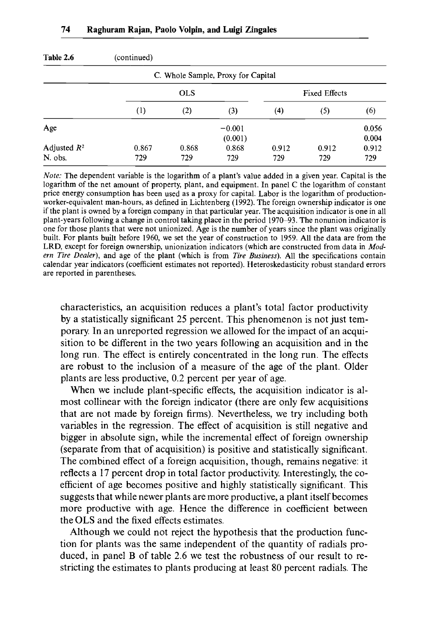| Table 2.6                 | (continued)      |                                    |                     |              |                      |                |  |  |  |
|---------------------------|------------------|------------------------------------|---------------------|--------------|----------------------|----------------|--|--|--|
|                           |                  | C. Whole Sample, Proxy for Capital |                     |              |                      |                |  |  |  |
|                           |                  | <b>OLS</b>                         |                     |              | <b>Fixed Effects</b> |                |  |  |  |
|                           | $\left(1\right)$ | (2)                                | (3)                 | (4)          | (5)                  | (6)            |  |  |  |
| Age                       |                  |                                    | $-0.001$<br>(0.001) |              |                      | 0.056<br>0.004 |  |  |  |
| Adjusted $R^2$<br>N. obs. | 0.867<br>729     | 0.868<br>729                       | 0.868<br>729        | 0.912<br>729 | 0.912<br>729         | 0.912<br>729   |  |  |  |

*Note:* The dependent variable is the logarithm of a plant's value added in a given year. Capital is the logarithm of the net amount of property, plant, and equipment. In panel C the logarithm of constant price energy consumption has been used as a proxy for capital. Labor is the logarithm of productionworker-equivalent man-hours, as defined in Lichtenberg (1992). The foreign ownership indicator is one if the plant is owned by a foreign company in that particular year. The acquisition indicator is one in all plant-years following a change in control taking place in the period 1970--93. The nonunion indicator is one for those plants that were not unionized. Age is the number of years since the plant was originally built. For plants built before 1960, we set the year of construction to 1959. All the data are from the LRD, except for foreign ownership, unionization indicators (which are constructed from data in *Modern Tire Dealer),* and age of the plant (which is from *Tire Business).* All the specifications contain calendar year indicators (coefficient estimates not reported). Heteroskedasticity robust standard errors are reported in parentheses.

characteristics, an acquisition reduces a plant's total factor productivity by a statistically significant 25 percent. This phenomenon is not just temporary. In an unreported regression we allowed for the impact of an acquisition to be different in the two years following an acquisition and in the long run. The effect is entirely concentrated in the long run. The effects are robust to the inclusion of a measure of the age of the plant. Older plants are less productive, 0.2 percent per year of age.

When we include plant-specific effects, the acquisition indicator is almost collinear with the foreign indicator (there are only few acquisitions that are not made by foreign firms). Nevertheless, we try including both variables in the regression. The effect of acquisition is still negative and bigger in absolute sign, while the incremental effect of foreign ownership (separate from that of acquisition) is positive and statistically significant. The combined effect of a foreign acquisition, though, remains negative: it reflects a **17** percent drop in total factor productivity. Interestingly, the coefficient of age becomes positive and highly statistically significant. This suggests that while newer plants are more productive, a plant itself becomes more productive with age. Hence the difference in coefficient between the **OLS** and the fixed effects estimates.

Although we could not reject the hypothesis that the production function for plants was the same independent of the quantity of radials produced, in panel B of table 2.6 we test the robustness of our result to restricting the estimates to plants producing at least 80 percent radials. The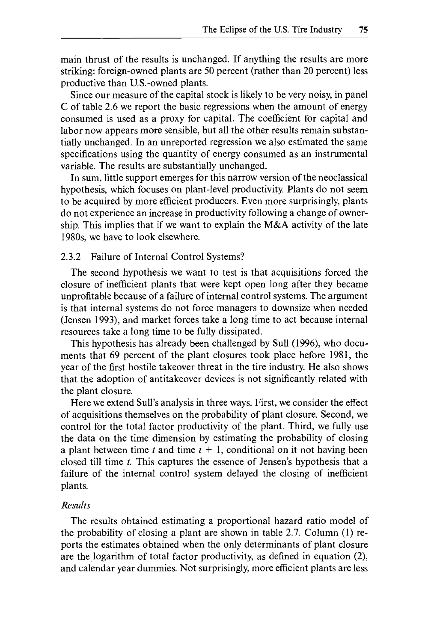main thrust of the results is unchanged. If anything the results are more striking: foreign-owned plants are 50 percent (rather than 20 percent) less productive than U.S.-owned plants.

Since our measure of the capital stock is likely to be very noisy, in panel C of table 2.6 we report the basic regressions when the amount of energy consumed is used as a proxy for capital. The coefficient for capital and labor now appears more sensible, but all the other results remain substantially unchanged. In an unreported regression we also estimated the same specifications using the quantity of energy consumed as an instrumental variable. The results are substantially unchanged.

In sum, little support emerges for this narrow version of the neoclassical hypothesis, which focuses on plant-level productivity. Plants do not seem to be acquired by more efficient producers. Even more surprisingly, plants do not experience an increase in productivity following a change of ownership. This implies that if we want to explain the **M&A** activity of the late 1980s, we have to look elsewhere.

#### 2.3.2 Failure of Internal Control Systems?

The second hypothesis we want to test is that acquisitions forced the closure of inefficient plants that were kept open long after they became unprofitable because of a failure of internal control systems. The argument is that internal systems do not force managers to downsize when needed (Jensen 1993), and market forces take a long time to act because internal resources take a long time to be fully dissipated.

This hypothesis has already been challenged by Sull (1996), who documents that 69 percent of the plant closures took place before 1981, the year of the first hostile takeover threat in the tire industry. He also shows that the adoption of antitakeover devices is not significantly related with the plant closure.

Here we extend Sull's analysis in three ways. First, we consider the effect of acquisitions themselves on the probability of plant closure. Second, we control for the total factor productivity of the plant. Third, we fully use the data on the time dimension by estimating the probability of closing a plant between time  $t$  and time  $t + 1$ , conditional on it not having been closed till time *t.* This captures the essence of Jensen's hypothesis that a failure of the internal control system delayed the closing of inefficient plants.

### *Results*

The results obtained estimating a proportional hazard ratio model of the probability of closing a plant are shown in table 2.7. Column (1) reports the estimates obtained when the only determinants of plant closure are the logarithm of total factor productivity, as defined in equation (2), and calendar year dummies. Not surprisingly, more efficient plants are less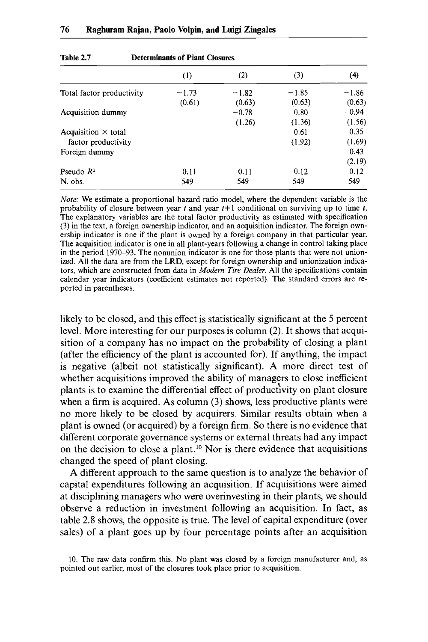|                            | (1)     | (2)     | (3)     | (4)     |
|----------------------------|---------|---------|---------|---------|
| Total factor productivity  | $-1.73$ | $-1.82$ | $-1.85$ | $-1.86$ |
|                            | (0.61)  | (0.63)  | (0.63)  | (0.63)  |
| Acquisition dummy          |         | $-0.78$ | $-0.80$ | $-0.94$ |
|                            |         | (1.26)  | (1.36)  | (1.56)  |
| Acquisition $\times$ total |         |         | 0.61    | 0.35    |
| factor productivity        |         |         | (1.92)  | (1.69)  |
| Foreign dummy              |         |         |         | 0.43    |
|                            |         |         |         | (2.19)  |
| Pseudo $R^2$               | 0.11    | 0.11    | 0.12    | 0.12    |
| N. obs.                    | 549     | 549     | 549     | 549     |

Table **2.7** Determinants **of** Plant Closures

*Note:* We estimate a proportional hazard ratio model, where the dependent variable is the probability of closure between year *t* and year *t+* 1 conditional on surviving up to time *t.*  The explanatory variables are the total factor productivity as estimated with specification (3) in the text, a foreign ownership indicator, and an acquisition indicator. The foreign ownership indicator is one if the plant is owned by a foreign company in that particular year. The acquisition indicator is one in all plant-years following a change in control taking place in the period 1970-93. The nonunion indicator is one for those plants that were not unionized. All the data are from the LRD, except for foreign ownership and unionization indicators, which are constructed from data in *Modern Tire Dealer.* All the specifications contain calendar year indicators (coefficient estimates not reported). The standard errors are reported in parentheses.

likely to be closed, and this effect is statistically significant at the *5* percent level. More interesting for our purposes is column (2). It shows that acquisition of a company has no impact on the probability of closing a plant (after the efficiency of the plant is accounted for). If anything, the impact is negative (albeit not statistically significant). **A** more direct test of whether acquisitions improved the ability of managers to close inefficient plants is to examine the differential effect of productivity on plant closure when a firm is acquired. **As** column **(3)** shows, less productive plants were no more likely to be closed by acquirers. Similar results obtain when a plant is owned (or acquired) by a foreign firm. **So** there is no evidence that different corporate governance systems or external threats had any impact on the decision to close a plant.1° Nor is there evidence that acquisitions changed the speed of plant closing.

**A** different approach to the same question is to analyze the behavior of capital expenditures following an acquisition. If acquisitions were aimed at disciplining managers who were overinvesting in their plants, we should observe a reduction in investment following an acquisition. In fact, as table 2.8 shows, the opposite is true. The level of capital expenditure (over sales) of a plant goes up by four percentage points after an acquisition

10. The raw data confirm this. No plant was closed by a foreign manufacturer and, as pointed out earlier, most of the closures took place prior to acquisition.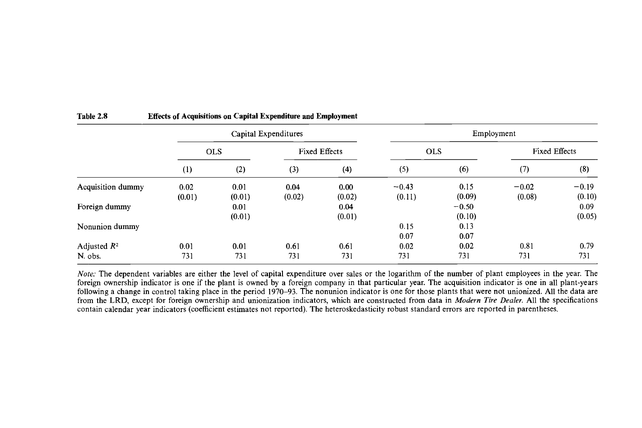|                   | Capital Expenditures |                |                      |                |                   |                   | Employment        |                      |  |
|-------------------|----------------------|----------------|----------------------|----------------|-------------------|-------------------|-------------------|----------------------|--|
|                   | <b>OLS</b>           |                | <b>Fixed Effects</b> |                |                   | <b>OLS</b>        |                   | <b>Fixed Effects</b> |  |
|                   | $\left(1\right)$     | (2)            | (3)                  | (4)            | (5)               | (6)               | (7)               | (8)                  |  |
| Acquisition dummy | 0.02<br>(0.01)       | 0.01<br>(0.01) | 0.04<br>(0.02)       | 0.00<br>(0.02) | $-0.43$<br>(0.11) | 0.15<br>(0.09)    | $-0.02$<br>(0.08) | $-0.19$<br>(0.10)    |  |
| Foreign dummy     |                      | 0.01<br>(0.01) |                      | 0.04<br>(0.01) |                   | $-0.50$<br>(0.10) |                   | 0.09<br>(0.05)       |  |
| Nonunion dummy    |                      |                |                      |                | 0.15<br>0.07      | 0.13<br>0.07      |                   |                      |  |
| Adjusted $R^2$    | 0.01                 | 0.01           | 0.61                 | 0.61           | 0.02              | 0.02              | 0.81              | 0.79                 |  |
| N. obs.           | 731                  | 731            | 731                  | 731            | 731               | 731               | 731               | 731                  |  |

### **Table 2.8 Effects of Acquisitions on Capital Expenditure and Employment**

*Note:* The dependent variables are either the level of capital expenditure over sales or the logarithm of the number of plant employees in the year. **The**  foreign ownership indicator is one if the plant is owned by a foreign company in that particular year. The acquisition indicator is one in all plant-years following a change in control taking place in the period 1970-93. The nonunion indicator is one for those plants that were not unionized. All the data are from the LRD, except for foreign ownership and unionization indicators, which are constructed from data in *Modern Tire Dealer.* All the specifications contain calendar year indicators (coefficient estimates not reported). The heteroskedasticity robust standard errors are reported in parentheses.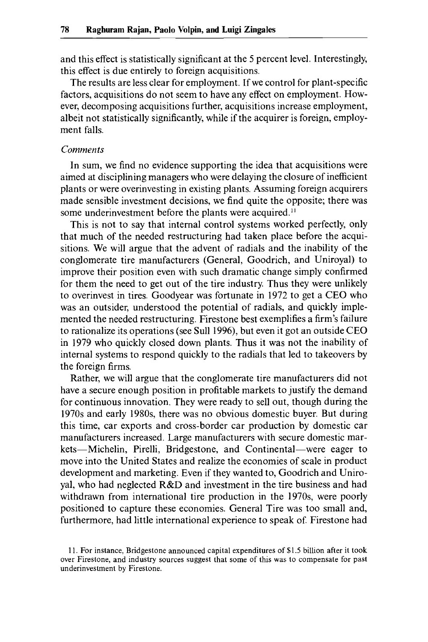and this effect is statistically significant at the 5 percent level. Interestingly, this effect is due entirely to foreign acquisitions.

The results are less clear for employment. If we control for plant-specific factors, acquisitions do not seem to have any effect on employment. However, decomposing acquisitions further, acquisitions increase employment, albeit not statistically significantly, while if the acquirer is foreign, employment falls.

### *Comments*

In sum, we find no evidence supporting the idea that acquisitions were aimed at disciplining managers who were delaying the closure of inefficient plants or were overinvesting in existing plants. Assuming foreign acquirers made sensible investment decisions, we find quite the opposite; there was some underinvestment before the plants were acquired."

This is not to say that internal control systems worked perfectly, only that much of the needed restructuring had taken place before the acquisitions. We will argue that the advent of radials and the inability of the conglomerate tire manufacturers (General, Goodrich, and Uniroyal) to improve their position even with such dramatic change simply confirmed for them the need to get out of the tire industry. Thus they were unlikely to overinvest in tires. Goodyear was fortunate in 1972 to get a CEO who was an outsider, understood the potential of radials, and quickly implemented the needed restructuring. Firestone best exemplifies a firm's failure to rationalize its operations (see Sull 1996), but even it got an outside CEO in 1979 who quickly closed down plants. Thus it was not the inability of internal systems to respond quickly to the radials that led to takeovers by the foreign firms.

Rather, we will argue that the conglomerate tire manufacturers did not have a secure enough position in profitable markets to justify the demand for continuous innovation. They were ready to sell out, though during the 1970s and early 1980s, there was no obvious domestic buyer, But during this time, car exports and cross-border car production by domestic car manufacturers increased. Large manufacturers with secure domestic markets-Michelin, Pirelli, Bridgestone, and Continental-were eager to move into the United States and realize the economies of scale in product development and marketing. Even if they wanted to, Goodrich and Uniroyal, who had neglected R&D and investment in the tire business and had withdrawn from international tire production in the 1970s, were poorly positioned to capture these economies. General Tire was too small and, furthermore, had little international experience to speak of. Firestone had

<sup>11.</sup> For instance, Bridgestone announced capital expenditures of \$1.5 billion after it took over Firestone, and industry sources suggest that some of this was to compensate for past underinvestment by Firestone.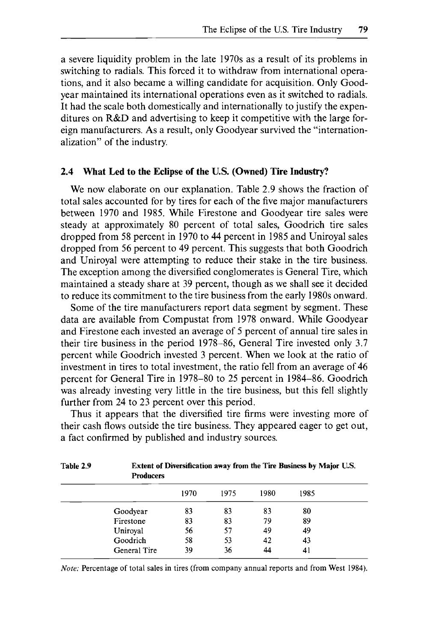a severe liquidity problem in the late 1970s as a result of its problems in switching to radials. This forced it to withdraw from international operations, and it also became a willing candidate for acquisition. Only Goodyear maintained its international operations even as it switched to radials. It had the scale both domestically and internationally to justify the expenditures on R&D and advertising to keep it competitive with the large foreign manufacturers. **As** a result, only Goodyear survived the "internationalization" of the industry.

### **2.4 What Led to the Eclipse of the U.S. (Owned) Tire Industry?**

We now elaborate on our explanation. Table 2.9 shows the fraction of total sales accounted for by tires for each of the five major manufacturers between 1970 and 1985. While Firestone and Goodyear tire sales were steady at approximately 80 percent of total sales, Goodrich tire sales dropped from 58 percent in 1970 to 44 percent in 1985 and Uniroyal sales dropped from 56 percent to 49 percent. This suggests that both Goodrich and Uniroyal were attempting to reduce their stake in the tire business. The exception among the diversified conglomerates is General Tire, which maintained a steady share at 39 percent, though as we shall see it decided to reduce its commitment to the tire business from the early 1980s onward.

Some of the tire manufacturers report data segment by segment. These data are available from Compustat from 1978 onward. While Goodyear and Firestone each invested an average of 5 percent of annual tire sales in their tire business in the period 1978-86, General Tire invested only 3.7 percent while Goodrich invested **3** percent. When we look at the ratio of investment in tires to total investment, the ratio fell from an average of 46 percent for General Tire in 1978-80 to 25 percent in 1984-86. Goodrich was already investing very little in the tire business, but this fell slightly further from 24 to 23 percent over this period.

Thus it appears that the diversified tire firms were investing more of their cash flows outside the tire business. They appeared eager to get out, a fact confirmed by published and industry sources.

| Table 2.9 | Extent of Diversification away from the Tire Business by Major U.S.<br><b>Producers</b> |      |      |      |      |  |  |
|-----------|-----------------------------------------------------------------------------------------|------|------|------|------|--|--|
|           |                                                                                         | 1970 | 1975 | 1980 | 1985 |  |  |
|           | Goodyear                                                                                | 83   | 83   | 83   | 80   |  |  |
|           | Firestone                                                                               | 83   | 83   | 79   | 89   |  |  |
|           | Uniroyal                                                                                | 56   | 57   | 49   | 49   |  |  |
|           | Goodrich                                                                                | 58   | 53   | 42   | 43   |  |  |
|           | General Tire                                                                            | 39   | 36   | 44   | 41   |  |  |

Note: Percentage of total sales in tires (from company annual reports and from West 1984).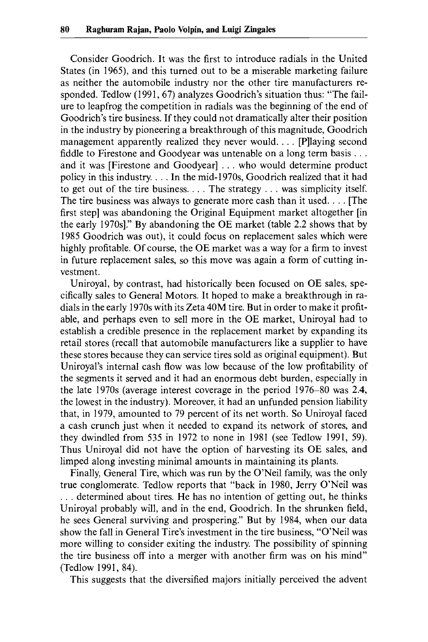Consider Goodrich. It was the first to introduce radials in the United States (in 1965), and this turned out to be a miserable marketing failure as neither the automobile industry nor the other tire manufacturers responded. Tedlow (1991, 67) analyzes Goodrich's situation thus: "The failure to leapfrog the competition in radials was the beginning of the end of Goodrich's tire business. If they could not dramatically alter their position in the industry by pioneering a breakthrough of this magnitude, Goodrich management apparently realized they never would. . . . [P]laying second fiddle to Firestone and Goodyear was untenable on **a** long term basis . . . and it was [Firestone and Goodyear] . . . who would determine product policy in this industry. . . . In the mid-l970s, Goodrich realized that it had to get out of the tire business. . . . The strategy . . . was simplicity itself. The tire business was always to generate more cash than it used. . . . [The first step] was abandoning the Original Equipment market altogether [in the early 197Os]." By abandoning the OE market (table 2.2 shows that by 1985 Goodrich was out), it could focus on replacement sales which were highly profitable. Of course, the OE market was a way for a firm to invest in future replacement sales, so this move was again a form of cutting investment.

Uniroyal, by contrast, had historically been focused on OE sales, specifically sales to General Motors. It hoped to make a breakthrough in radials in the early 1970s with its Zeta 40M tire. But in order to make it profitable, and perhaps even to sell more in the OE market, Uniroyal had to establish a credible presence in the replacement market by expanding its retail stores (recall that automobile manufacturers like a supplier to have these stores because they can service tires sold as original equipment). But Uniroyal's internal cash flow was low because of the low profitability of the segments it served and it had an enormous debt burden, especially in the late 1970s (average interest coverage in the period 1976-80 was 2.4, the lowest in the industry). Moreover, it had an unfunded pension liability that, in 1979, amounted to 79 percent of its net worth. **So** Uniroyal faced a cash crunch just when it needed to expand its network of stores, and they dwindled from 535 in 1972 to none in 1981 (see Tedlow 1991, 59). Thus Uniroyal did not have the option of harvesting its OE sales, and limped along investing minimal amounts in maintaining its plants.

Finally, General Tire, which was run by the O'Neil family, was the only true conglomerate. Tedlow reports that "back in 1980, Jerry O'Neil was . . . determined about tires. He has no intention of getting out, he thinks Uniroyal probably will, and in the end, Goodrich. In the shrunken field, he sees General surviving and prospering." But by 1984, when our data show the fall in General Tire's investment in the tire business, "O'Neil was more willing to consider exiting the industry. The possibility of spinning the tire business off into a merger with another firm was on his mind" (Tedlow 1991, 84).

This suggests that the diversified majors initially perceived the advent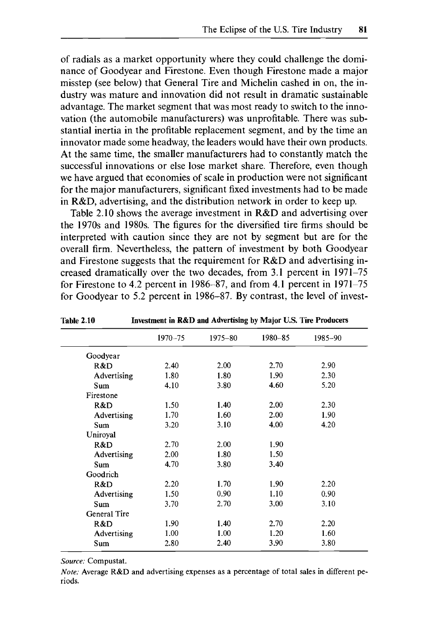of radials as a market opportunity where they could challenge the dominance of Goodyear and Firestone. Even though Firestone made a major misstep (see below) that General Tire and Michelin cashed in on, the industry was mature and innovation did not result in dramatic sustainable advantage. The market segment that was most ready to switch to the innovation (the automobile manufacturers) was unprofitable. There was substantial inertia in the profitable replacement segment, and by the time an innovator made some headway, the leaders would have their own products. At the same time, the smaller manufacturers had to constantly match the successful innovations or else lose market share. Therefore, even though we have argued that economies of scale in production were not significant for the major manufacturers, significant fixed investments had to be made in R&D, advertising, and the distribution network in order to keep up.

Table 2.10 shows the average investment in R&D and advertising over the 1970s and 1980s. The figures for the diversified tire firms should be interpreted with caution since they are not by segment but are for the overall firm. Nevertheless, the pattern of investment by both Goodyear and Firestone suggests that the requirement for R&D and advertising increased dramatically over the two decades, from 3.1 percent in 1971-75 for Firestone to **4.2** percent in 1986-87, and from 4.1 percent in 1971-75 for Goodyear to 5.2 percent in 1986-87. By contrast, the level of invest-

|              | 1970-75 | 1975-80 | 1980-85 | 1985-90 |
|--------------|---------|---------|---------|---------|
| Goodyear     |         |         |         |         |
| R&D          | 2.40    | 2.00    | 2.70    | 2.90    |
| Advertising  | 1.80    | 1.80    | 1.90    | 2.30    |
| Sum          | 4.10    | 3.80    | 4.60    | 5.20    |
| Firestone    |         |         |         |         |
| R&D          | 1.50    | 1.40    | 2.00    | 2.30    |
| Advertising  | 1.70    | 1.60    | 2.00    | 1.90    |
| Sum          | 3.20    | 3.10    | 4.00    | 4.20    |
| Uniroyal     |         |         |         |         |
| R&D          | 2.70    | 2.00    | 1.90    |         |
| Advertising  | 2.00    | 1.80    | 1.50    |         |
| Sum          | 4.70    | 3.80    | 3.40    |         |
| Goodrich     |         |         |         |         |
| R&D          | 2.20    | 1.70    | 1.90    | 2.20    |
| Advertising  | 1.50    | 0.90    | 1.10    | 0.90    |
| Sum          | 3.70    | 2.70    | 3.00    | 3.10    |
| General Tire |         |         |         |         |
| R&D          | 1.90    | 1.40    | 2.70    | 2.20    |
| Advertising  | 1.00    | 1.00    | 1.20    | 1.60    |
| Sum          | 2.80    | 2.40    | 3.90    | 3.80    |

**Table 2.10 Investment in R&D and Advertising by Major US. Tire Producers** 

*Source:* Compustat.

*Nore:* Average R&D and advertising expenses as a percentage **of** total sales in different periods.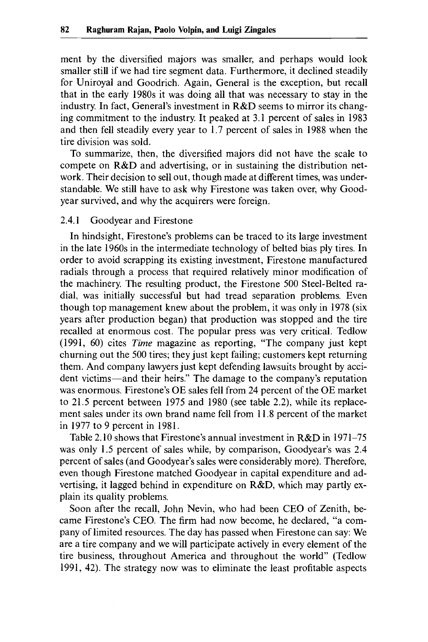ment by the diversified majors was smaller, and perhaps would look smaller still if we had tire segment data. Furthermore, it declined steadily for Uniroyal and Goodrich. Again, General is the exception, but recall that in the early 1980s it was doing all that was necessary to stay in the industry. In fact, General's investment in R&D seems to mirror its changing commitment to the industry. It peaked at 3.1 percent of sales in 1983 and then fell steadily every year to 1.7 percent of sales in 1988 when the tire division was sold.

To summarize, then, the diversified majors did not have the scale to compete on R&D and advertising, or in sustaining the distribution network. Their decision to sell out, though made at different times, was understandable. We still have to ask why Firestone was taken over, why Goodyear survived, and why the acquirers were foreign.

# 2.4.1 Goodyear and Firestone

In hindsight, Firestone's problems can be traced to its large investment in the late 1960s in the intermediate technology of belted bias ply tires. In order to avoid scrapping its existing investment, Firestone manufactured radials through a process that required relatively minor modification of the machinery. The resulting product, the Firestone 500 Steel-Belted radial, was initially successful but had tread separation problems. Even though top management knew about the problem, it was only in 1978 (six years after production began) that production was stopped and the tire recalled at enormous cost. The popular press was very critical. Tedlow (1991, 60) cites *Time* magazine as reporting, "The company just kept churning out the 500 tires; they just kept failing; customers kept returning them. And company lawyers just kept defending lawsuits brought by accident victims-and their heirs." The damage to the company's reputation was enormous. Firestone's OE sales fell from 24 percent of the OE market to 21.5 percent between 1975 and 1980 (see table 2.2), while its replacement sales under its own brand name fell from 11.8 percent of the market in 1977 to 9 percent in 1981.

Table 2.10 shows that Firestone's annual investment in R&D in 1971-75 was only 1.5 percent of sales while, by comparison, Goodyear's was 2.4 percent of sales (and Goodyear's sales were considerably more). Therefore, even though Firestone matched Goodyear in capital expenditure and advertising, it lagged behind in expenditure on R&D, which may partly explain its quality problems.

Soon after the recall, John Nevin, who had been CEO of Zenith, became Firestone's CEO. The firm had now become, he declared, "a company of limited resources. The day has passed when Firestone can say: We are a tire company and we will participate actively in every element of the tire business, throughout America and throughout the world" (Tedlow 1991, 42). The strategy now was to eliminate the least profitable aspects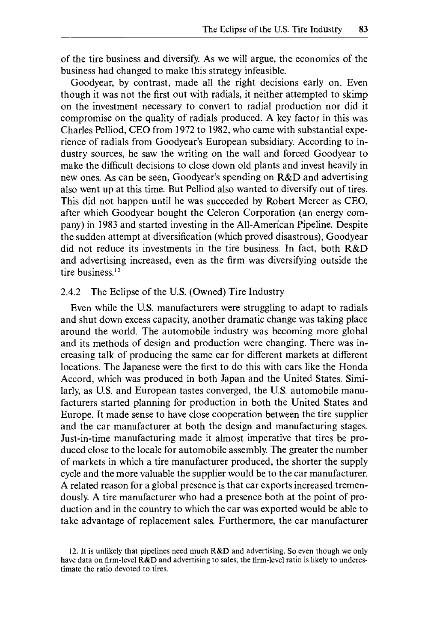of the tire business and diversify. As we will argue, the economics of the business had changed to make this strategy infeasible.

Goodyear, by contrast, made all the right decisions early on. Even though it was not the first out with radials, it neither attempted to skimp on the investment necessary to convert to radial production nor did it compromise on the quality of radials produced. A key factor in this was Charles Pelliod, CEO from 1972 to 1982, who came with substantial experience of radials from Goodyear's European subsidiary. According to industry sources, he saw the writing on the wall and forced Goodyear to make the difficult decisions to close down old plants and invest heavily in new ones. As can be seen, Goodyear's spending on R&D and advertising also went up at this time. But Pelliod also wanted to diversify out of tires. This did not happen until he was succeeded by Robert Mercer as CEO, after which Goodyear bought the Celeron Corporation (an energy company) in 1983 and started investing in the All-American Pipeline. Despite the sudden attempt at diversification (which proved disastrous), Goodyear did not reduce its investments in the tire business. In fact, both R&D and advertising increased, even as the firm was diversifying outside the tire business.<sup>12</sup>

# **2.4.2** The Eclipse of the **U.S.** (Owned) Tire Industry

Even while the **U.S.** manufacturers were struggling to adapt to radials and shut down excess capacity, another dramatic change was taking place around the world. The automobile industry was becoming more global and its methods of design and production were changing. There was increasing talk of producing the same car for different markets at different locations. The Japanese were the first to do this with cars like the Honda Accord, which was produced in both Japan and the United States. Similarly, as **U.S.** and European tastes converged, the **U.S.** automobile manufacturers started planning for production in both the United States and Europe. It made sense to have close cooperation between the tire supplier and the car manufacturer at both the design and manufacturing stages. Just-in-time manufacturing made it almost imperative that tires be produced close to the locale for automobile assembly. The greater the number of markets in which a tire manufacturer produced, the shorter the supply cycle and the more valuable the supplier would be to the car manufacturer. A related reason for a global presence is that car exports increased tremendously. A tire manufacturer who had a presence both at the point of production and in the country to which the car was exported would be able to take advantage of replacement sales. Furthermore, the car manufacturer

**<sup>12.</sup>** It is unlikely that pipelines need much **R&D** and advertising. **So** even though we only have data on firm-level **R&D** and advertising to sales, the firm-level ratio is likely to underestimate the ratio devoted to tires.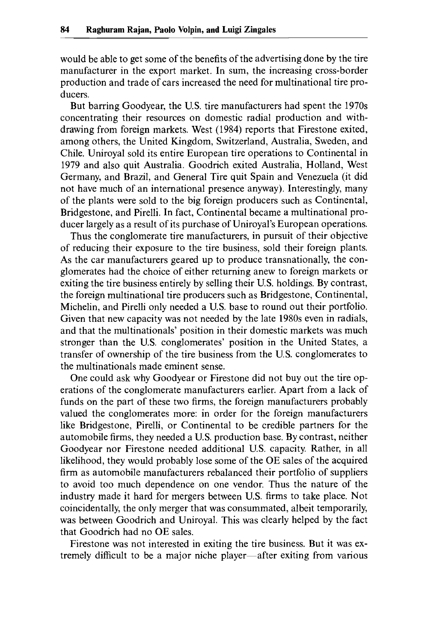would be able to get some of the benefits of the advertising done by the tire manufacturer in the export market. In sum, the increasing cross-border production and trade of cars increased the need for multinational tire producers.

But barring Goodyear, the **U.S.** tire manufacturers had spent the 1970s concentrating their resources on domestic radial production and withdrawing from foreign markets. West (1984) reports that Firestone exited, among others, the United Kingdom, Switzerland, Australia, Sweden, and Chile. Uniroyal sold its entire European tire operations to Continental in 1979 and also quit Australia. Goodrich exited Australia, Holland, West Germany, and Brazil, and General Tire quit Spain and Venezuela (it did not have much of an international presence anyway). Interestingly, many of the plants were sold to the big foreign producers such as Continental, Bridgestone, and Pirelli. In fact, Continental became a multinational producer largely as a result of its purchase of Uniroyal's European operations.

Thus the conglomerate tire manufacturers, in pursuit of their objective of reducing their exposure to the tire business, sold their foreign plants. As the car manufacturers geared up to produce transnationally, the conglomerates had the choice of either returning anew to foreign markets or exiting the tire business entirely by selling their U.S. holdings. By contrast, the foreign multinational tire producers such as Bridgestone, Continental, Michelin, and Pirelli only needed a U.S. base to round out their portfolio. Given that new capacity was not needed by the late 1980s even in radials, and that the multinationals' position in their domestic markets was much stronger than the US. conglomerates' position in the United States, a transfer of ownership of the tire business from the U.S. conglomerates to the multinationals made eminent sense.

One could ask why Goodyear or Firestone did not buy out the tire operations of the conglomerate manufacturers earlier. Apart from a lack of funds on the part of these two firms, the foreign manufacturers probably valued the conglomerates more: in order for the foreign manufacturers like Bridgestone, Pirelli, or Continental to be credible partners for the automobile firms, they needed a **U.S.** production base. By contrast, neither Goodyear nor Firestone needed additional U.S. capacity. Rather, in all likelihood, they would probably lose some of the OE sales of the acquired firm as automobile manufacturers rebalanced their portfolio of suppliers to avoid too much dependence on one vendor. Thus the nature of the industry made it hard for mergers between U.S. firms to take place. Not coincidentally, the only merger that was consummated, albeit temporarily, was between Goodrich and Uniroyal. This was clearly helped by the fact that Goodrich had no OE sales.

Firestone was not interested in exiting the tire business. But it was extremely difficult to be a major niche player—after exiting from various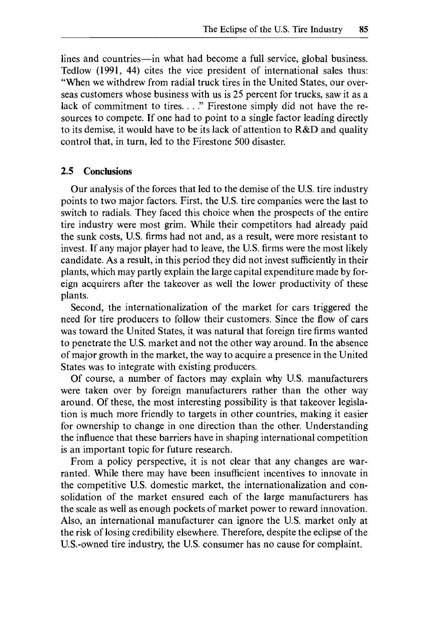lines and countries—in what had become a full service, global business. Tedlow (1991, 44) cites the vice president of international sales thus: "When we withdrew from radial truck tires in the United States, our overseas customers whose business with us is 25 percent for trucks, saw it as a lack of commitment to tires. . . ." Firestone simply did not have the resources to compete. If one had to point to a single factor leading directly to its demise, it would have to be its lack of attention to R&D and quality control that, in turn, led to the Firestone 500 disaster.

### *2.5* **Conclusions**

Our analysis of the forces that led to the demise of the U.S. tire industry points to two major factors. First, the U.S. tire companies were the last to switch to radials. They faced this choice when the prospects of the entire tire industry were most grim. While their competitors had already paid the sunk costs, U.S. firms had not and, as a result, were more resistant to invest. If any major player had to leave, the U.S. firms were the most likely candidate. **As** a result, in this period they did not invest sufficiently in their plants, which may partly explain the large capital expenditure made by foreign acquirers after the takeover as well the lower productivity of these plants.

Second, the internationalization of the market for cars triggered the need for tire producers to follow their customers. Since the flow of cars was toward the United States, it was natural that foreign tire firms wanted to penetrate the **U.S.** market and not the other way around. In the absence of major growth in the market, the way to acquire a presence in the United States was to integrate with existing producers.

Of course, a number of factors may explain why U.S. manufacturers were taken over by foreign manufacturers rather than the other way around. Of these, the most interesting possibility is that takeover legislation is much more friendly to targets in other countries, making it easier for ownership to change in one direction than the other. Understanding the influence that these barriers have in shaping international competition is an important topic for future research.

From a policy perspective, it is not clear that any changes are warranted. While there may have been insufficient incentives to innovate in the competitive U.S. domestic market, the internationalization and consolidation of the market ensured each of the large manufacturers has the scale as well as enough pockets of market power to reward innovation. Also, an international manufacturer can ignore the U.S. market only at the risk of losing credibility elsewhere. Therefore, despite the eclipse of the U.S.-owned tire industry, the U.S. consumer has no cause for complaint.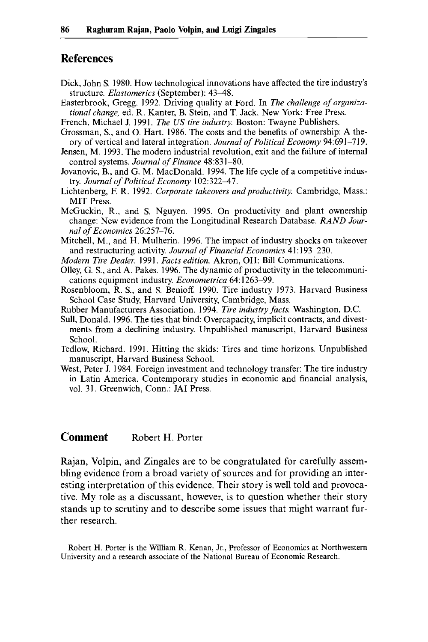# **References**

- Dick, John S. 1980. How technological innovations have affected the tire industry's structure. *Elastomerics* (September): 43-48.
- Easterbrook, Gregg. 1992. Driving quality at Ford. In *The challenge of organizational change,* ed. R. Kanter, B. Stein, and T. Jack. New York: Free Press.
- French, Michael J. 1991. *The US tire industry.* Boston: Twayne Publishers.
- Grossman, S., and 0. Hart. 1986. The costs and the benefits of ownership: A theory of vertical and lateral integration. *Journal of Political Economy* 94:69 1-7 19.
- Jensen, M. 1993. The modern industrial revolution, exit and the failure of internal control systems. *Journal* of *Finance* 48:83 1-80.
- Jovanovic, B., and G. M. MacDonald. 1994. The life cycle of a competitive industry. *Journal of Political Economy* 102:322-47.
- Lichtenberg, **F.** R. 1992. *Corporate takeovers andproductivity.* Cambridge, Mass.: MIT Press.
- McGuckin, R., and S. Nguyen. 1995. On productivity and plant ownership change: New evidence from the Longitudinal Research Database. *RAND Journal of Economics* 26:257-76.
- Mitchell, M., and H. Mulherin. 1996. The impact of industry shocks on takeover and restructuring activity. *Journal of Financiul Economics* 41 : 193-230.
- *Modern Tire Dealer.* 1991. *Facts edition.* Akron, OH: Bill Communications.
- Olley, G. S., and A. Pakes. 1996. The dynamic of productivity in the telecommunications equipment industry. *Econometrica* 64: 1263-99.
- Rosenbloom, R. **S.,** and S. Benioff. 1990. Tire industry 1973. Harvard Business School Case Study, Harvard University, Cambridge, Mass.
- Rubber Manufacturers Association. 1994. *Tire industry facts.* Washington, D.C.
- Sull, Donald. 1996. The ties that bind: Overcapacity, implicit contracts, and divestments from a declining industry. Unpublished manuscript, Harvard Business School.
- Tedlow, Richard. 1991. Hitting the skids: Tires and time horizons. Unpublished manuscript, Harvard Business School.
- West, Peter J. 1984. Foreign investment and technology transfer: The tire industry in Latin America. Contemporary studies in economic and financial analysis, vol. 31. Greenwich, Conn.: JAI Press.

# **Comment** Robert H. Porter

Rajan, Volpin, and Zingales are to be congratulated for carefully assembling evidence from a broad variety of sources and for providing an interesting interpretation of this evidence. Their story is well told and provocative. My role as a discussant, however, is to question whether their story stands up to scrutiny and to describe some issues that might warrant further research.

Robert **H.** Porter is the William R. Kenan, **Jt,** Professor of Economics at Northwestern University and a research associate of the National Bureau of Economic Research.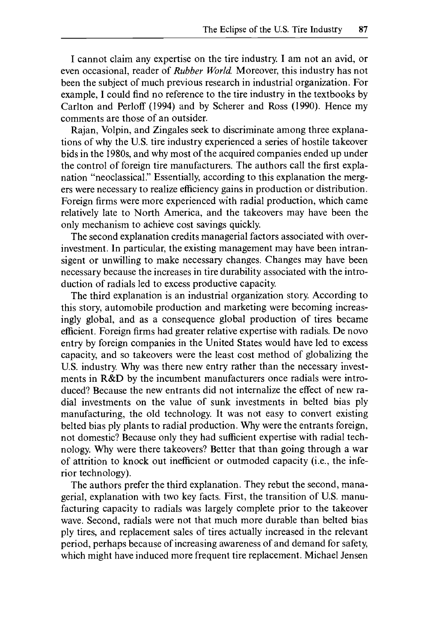I cannot claim any expertise on the tire industry. I am not an avid, or even occasional, reader of *Rubber World.* Moreover, this industry has not been the subject of much previous research in industrial organization. For example, **I** could find no reference to the tire industry in the textbooks by Carlton and Perloff (1994) and by Scherer and Ross (1990). Hence my comments are those of an outsider.

Rajan, Volpin, and Zingales seek to discriminate among three explanations of why the US. tire industry experienced a series of hostile takeover bids in the 1980s, and why most of the acquired companies ended up under the control of foreign tire manufacturers. The authors call the first explanation "neoclassical." Essentially, according to this explanation the mergers were necessary to realize efficiency gains in production or distribution. Foreign firms were more experienced with radial production, which came relatively late to North America, and the takeovers may have been the only mechanism to achieve cost savings quickly.

The second explanation credits managerial factors associated with overinvestment. In particular, the existing management may have been intransigent or unwilling to make necessary changes. Changes may have been necessary because the increases in tire durability associated with the introduction of radials led to excess productive capacity.

The third explanation is an industrial organization story. According to this story, automobile production and marketing were becoming increasingly global, and as a consequence global production of tires became efficient. Foreign firms had greater relative expertise with radials. De novo entry by foreign companies in the United States would have led to excess capacity, and so takeovers were the least cost method of globalizing the **U.S.** industry. Why was there new entry rather than the necessary investments in R&D by the incumbent manufacturers once radials were introduced? Because the new entrants did not internalize the effect of new radial investments on the value of sunk investments in belted bias ply manufacturing, the old technology. It was not easy to convert existing belted bias ply plants to radial production. Why were the entrants foreign, not domestic? Because only they had sufficient expertise with radial technology. Why were there takeovers? Better that than going through a war of attrition to knock out inefficient or outmoded capacity (i.e., the inferior technology).

The authors prefer the third explanation. They rebut the second, managerial, explanation with two key facts. First, the transition of **U.S.** manufacturing capacity to radials was largely complete prior to the takeover wave. Second, radials were not that much more durable than belted bias ply tires, and replacement sales of tires actually increased in the relevant period, perhaps because of increasing awareness of and demand for safety, which might have induced more frequent tire replacement. Michael Jensen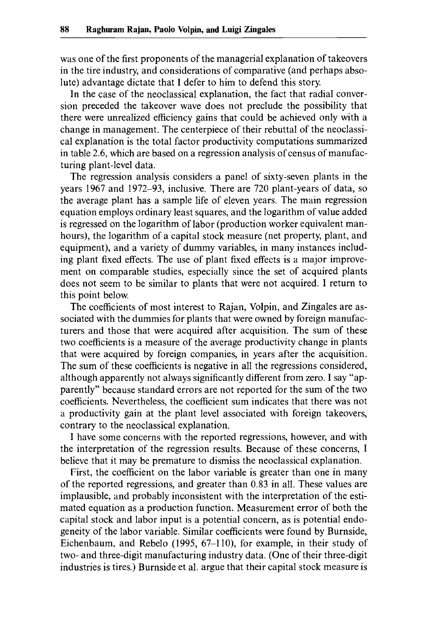was one of the first proponents of the managerial explanation of takeovers in the tire industry, and considerations of comparative (and perhaps absolute) advantage dictate that I defer to him to defend this story.

In the case of the neoclassical explanation, the fact that radial conversion preceded the takeover wave does not preclude the possibility that there were unrealized efficiency gains that could be achieved only with a change in management. The centerpiece of their rebuttal of the neoclassical explanation is the total factor productivity computations summarized in table *2.6,* which are based on a regression analysis of census of manufacturing plant-level data.

The regression analysis considers a panel of sixty-seven plants in the years 1967 and 1972-93, inclusive. There are 720 plant-years of data, so the average plant has a sample life of eleven years. The main regression equation employs ordinary least squares, and the logarithm of value added is regressed on the logarithm of labor (production worker equivalent manhours), the logarithm of a capital stock measure (net property, plant, and equipment), and a variety of dummy variables, in many instances including plant fixed effects. The use of plant fixed effects is a major improvement on comparable studies, especially since the set of acquired plants does not seem to be similar to plants that were not acquired. **I** return to this point below.

The coefficients of most interest to Rajan, Volpin, and Zingales are associated with the dummies for plants that were owned by foreign manufacturers and those that were acquired after acquisition. The sum of these two coefficients is a measure of the average productivity change in plants that were acquired by foreign companies, in years after the acquisition. The sum of these coefficients is negative in all the regressions considered, although apparently not always significantly different from zero. I say "apparently" because standard errors are not reported for the sum of the two coefficients. Nevertheless, the coefficient sum indicates that there was not a productivity gain at the plant level associated with foreign takeovers, contrary to the neoclassical explanation.

I have some concerns with the reported regressions, however, and with the interpretation of the regression results. Because of these concerns, I believe that it may be premature to dismiss the neoclassical explanation.

First, the coefficient on the labor variable is greater than one in many of the reported regressions, and greater than 0.83 in all. These values are implausible, and probably inconsistent with the interpretation of the estimated equation as a production function. Measurement error of both the capital stock and labor input is a potential concern, as is potential endogeneity of the labor variable. Similar coefficients were found by Burnside, Eichenbaum, and Rebelo (1995, 67-110), for example, in their study of two- and three-digit manufacturing industry data. (One of their three-digit industries is tires.) Burnside et al. argue that their capital stock measure is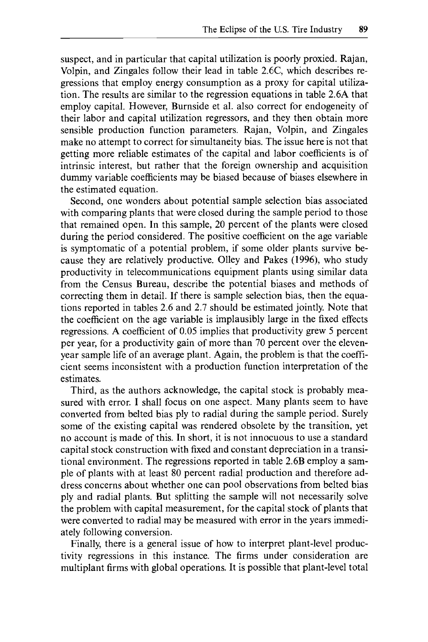suspect, and in particular that capital utilization is poorly proxied. Rajan, Volpin, and Zingales follow their lead in table 2.6C, which describes regressions that employ energy consumption as a proxy for capital utilization. The results are similar to the regression equations in table 2.6A that employ capital. However, Burnside et al. also correct for endogeneity of their labor and capital utilization regressors, and they then obtain more sensible production function parameters. Rajan, Volpin, and Zingales make no attempt to correct for simultaneity bias. The issue here is not that getting more reliable estimates of the capital and labor coefficients is of intrinsic interest, but rather that the foreign ownership and acquisition dummy variable coefficients may be biased because of biases elsewhere in the estimated equation.

Second, one wonders about potential sample selection bias associated with comparing plants that were closed during the sample period to those that remained open. In this sample, 20 percent of the plants were closed during the period considered. The positive coefficient on the age variable is symptomatic of a potential problem, if some older plants survive because they are relatively productive. Olley and Pakes (1996), who study productivity in telecommunications equipment plants using similar data from the Census Bureau, describe the potential biases and methods of correcting them in detail. If there is sample selection bias, then the equations reported in tables 2.6 and 2.7 should be estimated jointly. Note that the coefficient on the age variable is implausibly large in the fixed effects regressions. **A** coefficient of 0.05 implies that productivity grew *5* percent per year, for a productivity gain of more than 70 percent over the elevenyear sample life of an average plant. Again, the problem is that the coefficient seems inconsistent with a production function interpretation of the estimates.

Third, as the authors acknowledge, the capital stock is probably measured with error. I shall focus on one aspect. Many plants seem to have converted from belted bias ply to radial during the sample period. Surely some of the existing capital was rendered obsolete by the transition, yet no account is made of this. In short, it is not innocuous to use a standard capital stock construction with fixed and constant depreciation in a transitional environment. The regressions reported in table 2.6B employ a sample of plants with at least 80 percent radial production and therefore address concerns about whether one can pool observations from belted bias ply and radial plants. But splitting the sample will not necessarily solve the problem with capital measurement, for the capital stock of plants that were converted to radial may be measured with error in the years immediately following conversion.

Finally, there is a general issue of how to interpret plant-level productivity regressions in this instance. The firms under consideration are multiplant firms with global operations. It is possible that plant-level total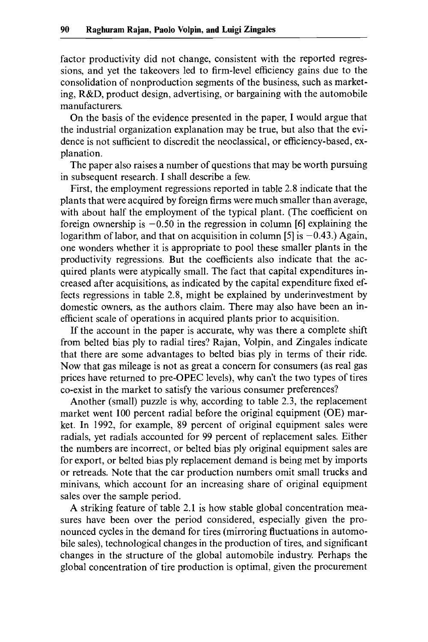factor productivity did not change, consistent with the reported regressions, and yet the takeovers led to firm-level efficiency gains due to the consolidation of nonproduction segments of the business, such as marketing, R&D, product design, advertising, or bargaining with the automobile manufacturers.

On the basis of the evidence presented in the paper, I would argue that the industrial organization explanation may be true, but also that the evidence is not sufficient to discredit the neoclassical, or efficiency-based, explanation.

The paper also raises a number of questions that may be worth pursuing in subsequent research. **I** shall describe a few.

First, the employment regressions reported in table 2.8 indicate that the plants that were acquired by foreign firms were much smaller than average, with about half the employment of the typical plant. (The coefficient on foreign ownership is  $-0.50$  in the regression in column [6] explaining the logarithm of labor, and that on acquisition in column [5] is  $-0.43$ .) Again, one wonders whether it is appropriate to pool these smaller plants in the productivity regressions. But the coefficients also indicate that the acquired plants were atypically small. The fact that capital expenditures increased after acquisitions, as indicated by the capital expenditure fixed effects regressions in table 2.8, might be explained by underinvestment by domestic owners, as the authors claim. There may also have been an inefficient scale of operations in acquired plants prior to acquisition.

If the account in the paper is accurate, why was there a complete shift from belted bias ply to radial tires? Rajan, Volpin, and Zingales indicate that there are some advantages to belted bias ply in terms of their ride. Now that gas mileage is not as great a concern for consumers (as real gas prices have returned to pre-OPEC levels), why can't the two types of tires co-exist in the market to satisfy the various consumer preferences?

Another (small) puzzle is why, according to table **2.3,** the replacement market went 100 percent radial before the original equipment (OE) market. In 1992, for example, 89 percent of original equipment sales were radials, yet radials accounted for 99 percent of replacement sales. Either the numbers are incorrect, or belted bias ply original equipment sales are for export, or belted bias ply replacement demand is being met by imports or retreads. Note that the car production numbers omit small trucks and minivans, which account for an increasing share of original equipment sales over the sample period.

A striking feature of table 2.1 is how stable global concentration measures have been over the period considered, especially given the pronounced cycles in the demand for tires (mirroring fluctuations in automobile sales), technological changes in the production of tires, and significant changes in the structure of the global automobile industry. Perhaps the global concentration of tire production is optimal, given the procurement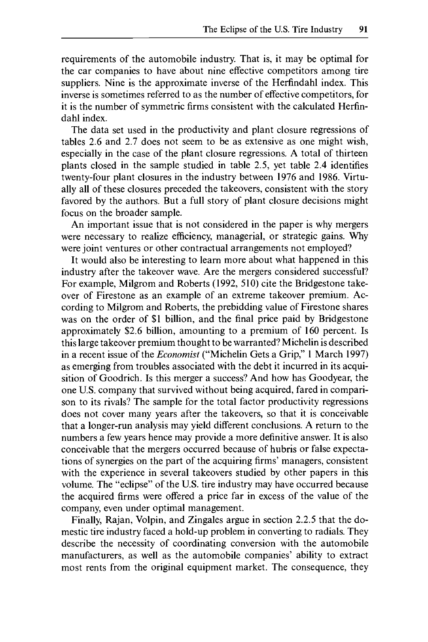requirements of the automobile industry. That is, it may be optimal for the car companies to have about nine effective competitors among tire suppliers. Nine is the approximate inverse of the Herfindahl index. This inverse is sometimes referred to as the number of effective competitors, for it is the number of symmetric firms consistent with the calculated Herfindahl index.

The data set used in the productivity and plant closure regressions of tables 2.6 and 2.7 does not seem to be as extensive as one might wish, especially in the case of the plant closure regressions. A total of thirteen plants closed in the sample studied in table 2.5, yet table 2.4 identifies twenty-four plant closures in the industry between 1976 and 1986. Virtually all of these closures preceded the takeovers, consistent with the story favored by the authors. But a full story of plant closure decisions might focus on the broader sample.

An important issue that is not considered in the paper is why mergers were necessary to realize efficiency, managerial, or strategic gains. Why were joint ventures or other contractual arrangements not employed?

It would also be interesting to learn more about what happened in this industry after the takeover wave. Are the mergers considered successful? For example, Milgrom and Roberts (1992, 510) cite the Bridgestone takeover of Firestone as an example of an extreme takeover premium. According to Milgrom and Roberts, the prebidding value of Firestone shares was on the order of \$1 billion, and the final price paid by Bridgestone approximately *\$2.6* billion, amounting to a premium of 160 percent. Is this large takeover premium thought to be warranted? Michelin is described in a recent issue of the *Economist* ("Michelin Gets a Grip," 1 March 1997) as emerging from troubles associated with the debt it incurred in its acquisition of Goodrich. Is this merger a success? And how has Goodyear, the one **U.S.** company that survived without being acquired, fared in comparison to its rivals? The sample for the total factor productivity regressions does not cover many years after the takeovers, so that it is conceivable that a longer-run analysis may yield different conclusions. A return to the numbers a few years hence may provide a more definitive answer. It is also conceivable that the mergers occurred because of hubris or false expectations of synergies on the part of the acquiring firms' managers, consistent with the experience in several takeovers studied by other papers in this volume. The "eclipse" of the **U.S.** tire industry may have occurred because the acquired firms were offered a price far in excess of the value of the company, even under optimal management.

Finally, Rajan, Volpin, and Zingales argue in section 2.2.5 that the domestic tire industry faced a hold-up problem in converting to radials. They describe the necessity of coordinating conversion with the automobile manufacturers, as well as the automobile companies' ability to extract most rents from the original equipment market. The consequence, they